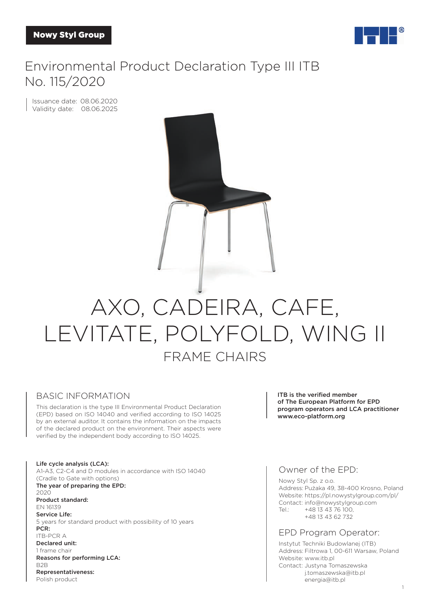

# Environmental Product Declaration Type III ITB No. 115/2020

Issuance date: 08.06.2020 Validity date: 08.06.2025

# AXO, CADEIRA, CAFE, LEVITATE, POLYFOLD, WING II FRAME CHAIRS

#### BASIC INFORMATION

This declaration is the type III Environmental Product Declaration (EPD) based on ISO 14040 and verified according to ISO 14025 by an external auditor. It contains the information on the impacts of the declared product on the environment. Their aspects were verified by the independent body according to ISO 14025.

Life cycle analysis (LCA): A1-A3, C2-C4 and D modules in accordance with ISO 14040 (Cradle to Gate with options) The year of preparing the EPD: 2020 Product standard: EN 16139 Service Life: 5 years for standard product with possibility of 10 years PCR: ITB-PCR A Declared unit: 1 frame chair Reasons for performing LCA: B2B Representativeness: Polish product

ITB is the verified member of The European Platform for EPD program operators and LCA practitioner www.eco-platform.org

#### Owner of the EPD:

Nowy Styl Sp. z o.o. Address: Pużaka 49, 38-400 Krosno, Poland Website: https://pl.nowystylgroup.com/pl/ Contact: info@nowystylgroup.com Tel.: +48 13 43 76 100, +48 13 43 62 732

#### EPD Program Operator:

Instytut Techniki Budowlanej (ITB) Address: Filtrowa 1, 00-611 Warsaw, Poland Website: www.itb.pl Contact: Justyna Tomaszewska j.tomaszewska@itb.pl energia@itb.pl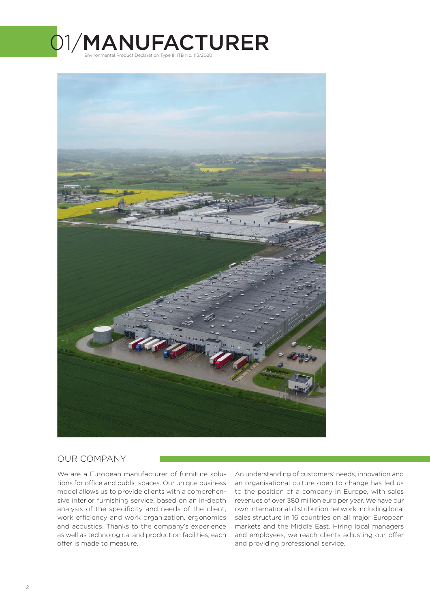



#### OUR COMPANY

We are a European manufacturer of furniture solutions for office and public spaces. Our unique business model allows us to provide clients with a comprehensive interior furnishing service, based on an in-depth analysis of the specificity and needs of the client, work efficiency and work organization, ergonomics and acoustics. Thanks to the company's experience as well as technological and production facilities, each offer is made to measure.

An understanding of customers' needs, innovation and an organisational culture open to change has led us to the position of a company in Europe, with sales revenues of over 380 million euro per year. We have our own international distribution network including local sales structure in 16 countries on all major European markets and the Middle East. Hiring local managers and employees, we reach clients adjusting our offer and providing professional service.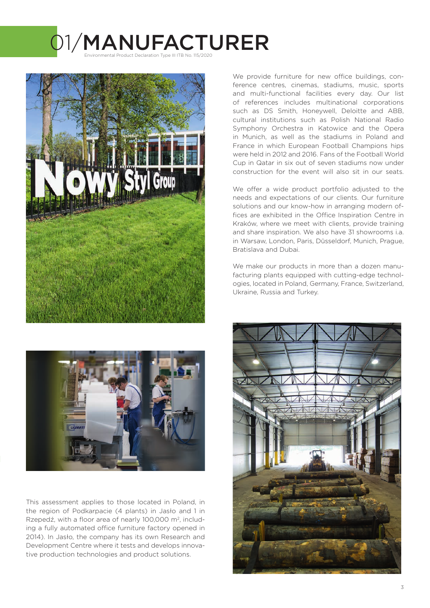# 01/MANUFACTURER Environmental Product Declaration Type III ITB No. 115/2020





This assessment applies to those located in Poland, in the region of Podkarpacie (4 plants) in Jasło and 1 in Rzepedź, with a floor area of nearly 100,000 m<sup>2</sup>, including a fully automated office furniture factory opened in 2014). In Jasło, the company has its own Research and Development Centre where it tests and develops innovative production technologies and product solutions.

We provide furniture for new office buildings, conference centres, cinemas, stadiums, music, sports and multi-functional facilities every day. Our list of references includes multinational corporations such as DS Smith, Honeywell, Deloitte and ABB, cultural institutions such as Polish National Radio Symphony Orchestra in Katowice and the Opera in Munich, as well as the stadiums in Poland and France in which European Football Champions hips were held in 2012 and 2016. Fans of the Football World Cup in Qatar in six out of seven stadiums now under construction for the event will also sit in our seats.

We offer a wide product portfolio adjusted to the needs and expectations of our clients. Our furniture solutions and our know-how in arranging modern offices are exhibited in the Office Inspiration Centre in Kraków, where we meet with clients, provide training and share inspiration. We also have 31 showrooms i.a. in Warsaw, London, Paris, Düsseldorf, Munich, Prague, Bratislava and Dubai.

We make our products in more than a dozen manufacturing plants equipped with cutting-edge technologies, located in Poland, Germany, France, Switzerland, Ukraine, Russia and Turkey.

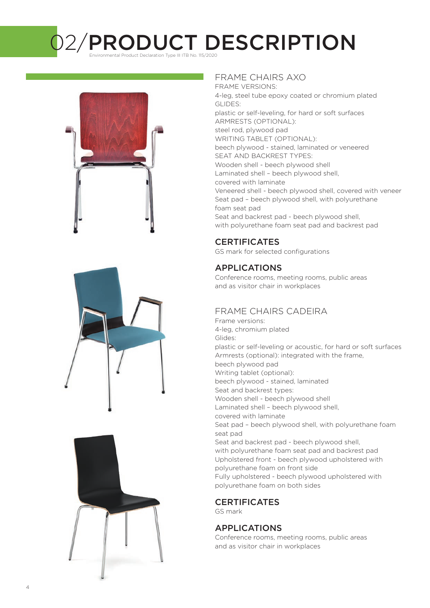2/PRODUCT DESCRIPTION Environmental Product Declaration Type III ITB No. 115/2020







#### FRAME CHAIRS AXO

FRAME VERSIONS: 4-leg, steel tube epoxy coated or chromium plated GLIDES: plastic or self-leveling, for hard or soft surfaces ARMRESTS (OPTIONAL): steel rod, plywood pad WRITING TABLET (OPTIONAL): beech plywood - stained, laminated or veneered SEAT AND BACKREST TYPES: Wooden shell - beech plywood shell Laminated shell – beech plywood shell, covered with laminate Veneered shell - beech plywood shell, covered with veneer Seat pad – beech plywood shell, with polyurethane foam seat pad Seat and backrest pad - beech plywood shell, with polyurethane foam seat pad and backrest pad

### **CERTIFICATES**

GS mark for selected configurations

### APPLICATIONS

Conference rooms, meeting rooms, public areas and as visitor chair in workplaces

### FRAME CHAIRS CADEIRA

Frame versions: 4-leg, chromium plated Glides: plastic or self-leveling or acoustic, for hard or soft surfaces Armrests (optional): integrated with the frame, beech plywood pad Writing tablet (optional): beech plywood - stained, laminated Seat and backrest types: Wooden shell - beech plywood shell Laminated shell – beech plywood shell, covered with laminate Seat pad – beech plywood shell, with polyurethane foam seat pad Seat and backrest pad - beech plywood shell, with polyurethane foam seat pad and backrest pad Upholstered front - beech plywood upholstered with polyurethane foam on front side Fully upholstered - beech plywood upholstered with polyurethane foam on both sides

### **CERTIFICATES**

GS mark

### APPLICATIONS

Conference rooms, meeting rooms, public areas and as visitor chair in workplaces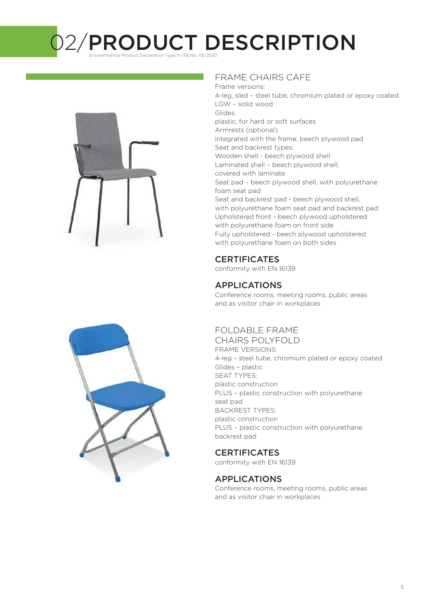O2/PRODUCT DESCRIPTION



#### FRAME CHAIRS CAFE

Frame versions: 4-leg, sled – steel tube, chromium plated or epoxy coated LGW – solid wood Glides: plastic, for hard or soft surfaces Armrests (optional): integrated with the frame, beech plywood pad Seat and backrest types: Wooden shell - beech plywood shell Laminated shell – beech plywood shell, covered with laminate Seat pad – beech plywood shell, with polyurethane foam seat pad Seat and backrest pad - beech plywood shell, with polyurethane foam seat pad and backrest pad Upholstered front - beech plywood upholstered with polyurethane foam on front side Fully upholstered - beech plywood upholstered with polyurethane foam on both sides

## **CERTIFICATES**

conformity with EN 16139

### APPLICATIONS

Conference rooms, meeting rooms, public areas and as visitor chair in workplaces

# FOLDABLE FRAME

CHAIRS POLYFOLD FRAME VERSIONS: 4-leg – steel tube, chromium plated or epoxy coated Glides – plastic SEAT TYPES: plastic construction PLUS – plastic construction with polyurethane seat pad BACKREST TYPES: plastic construction PLUS – plastic construction with polyurethane backrest pad

### **CERTIFICATES**

conformity with EN 16139

#### APPLICATIONS

Conference rooms, meeting rooms, public areas and as visitor chair in workplaces

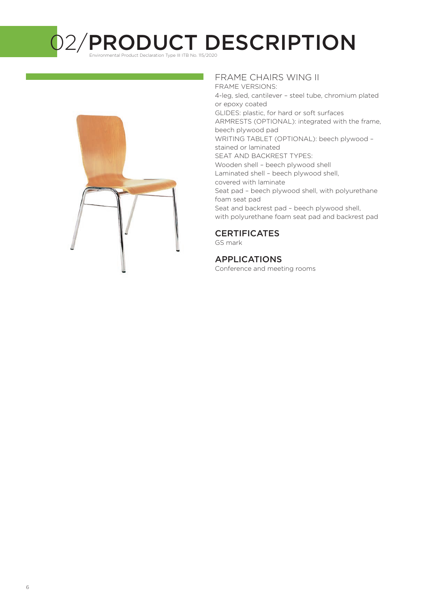O2/PRODUCT DESCRIPTION



#### FRAME CHAIRS WING II

FRAME VERSIONS: 4-leg, sled, cantilever – steel tube, chromium plated or epoxy coated GLIDES: plastic, for hard or soft surfaces ARMRESTS (OPTIONAL): integrated with the frame, beech plywood pad WRITING TABLET (OPTIONAL): beech plywood – stained or laminated SEAT AND BACKREST TYPES: Wooden shell – beech plywood shell Laminated shell – beech plywood shell, covered with laminate Seat pad – beech plywood shell, with polyurethane foam seat pad Seat and backrest pad – beech plywood shell, with polyurethane foam seat pad and backrest pad

#### **CERTIFICATES**

GS mark

#### APPLICATIONS

Conference and meeting rooms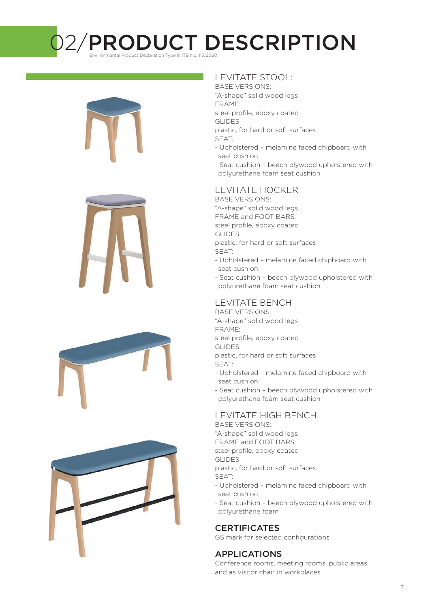# 02/PRODUCT DESCRIPTION

Environmental Product Declaration Type III ITB No. 115/2020









### LEVITATE STOOL:

BASE VERSIONS: "A-shape" solid wood legs FRAME: steel profile, epoxy coated GLIDES: plastic, for hard or soft surfaces

- 
- SEAT:
- Upholstered melamine faced chipboard with seat cushion
- Seat cushion beech plywood upholstered with polyurethane foam seat cushion

#### LEVITATE HOCKER

BASE VERSIONS: "A-shape" solid wood legs FRAME and FOOT BARS:

steel profile, epoxy coated GLIDES:

- plastic, for hard or soft surfaces SEAT:
- Upholstered melamine faced chipboard with seat cushion
- Seat cushion beech plywood upholstered with polyurethane foam seat cushion

#### LEVITATE BENCH

BASE VERSIONS: "A-shape" solid wood legs FRAME:

steel profile, epoxy coated

GLIDES:

plastic, for hard or soft surfaces SEAT:

- Upholstered melamine faced chipboard with seat cushion
- Seat cushion beech plywood upholstered with polyurethane foam seat cushion

### LEVITATE HIGH BENCH

BASE VERSIONS: "A-shape" solid wood legs FRAME and FOOT BARS: steel profile, epoxy coated GLIDES: plastic, for hard or soft surfaces SEAT:

- Upholstered melamine faced chipboard with seat cushion
- Seat cushion beech plywood upholstered with polyurethane foam

# **CERTIFICATES**

GS mark for selected configurations

### APPLICATIONS

Conference rooms, meeting rooms, public areas and as visitor chair in workplaces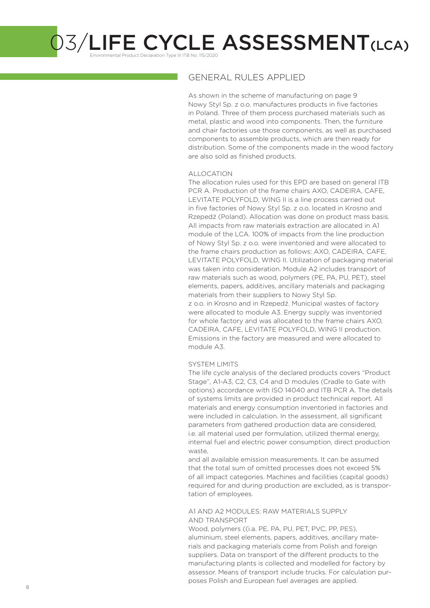Environmental Product Declaration Type III ITB No. 115/2020

#### GENERAL RULES APPLIED

As shown in the scheme of manufacturing on page 9 Nowy Styl Sp. z o.o. manufactures products in five factories in Poland. Three of them process purchased materials such as metal, plastic and wood into components. Then, the furniture and chair factories use those components, as well as purchased components to assemble products, which are then ready for distribution. Some of the components made in the wood factory are also sold as finished products.

#### ALLOCATION

The allocation rules used for this EPD are based on general ITB PCR A. Production of the frame chairs AXO, CADEIRA, CAFE, LEVITATE POLYFOLD, WING II is a line process carried out in five factories of Nowy Styl Sp. z o.o. located in Krosno and Rzepedź (Poland). Allocation was done on product mass basis. All impacts from raw materials extraction are allocated in A1 module of the LCA. 100% of impacts from the line production of Nowy Styl Sp. z o.o. were inventoried and were allocated to the frame chairs production as follows: AXO, CADEIRA, CAFE, LEVITATE POLYFOLD, WING II. Utilization of packaging material was taken into consideration. Module A2 includes transport of raw materials such as wood, polymers (PE, PA, PU, PET), steel elements, papers, additives, ancillary materials and packaging materials from their suppliers to Nowy Styl Sp. z o.o. in Krosno and in Rzepedź. Municipal wastes of factory were allocated to module A3. Energy supply was inventoried for whole factory and was allocated to the frame chairs AXO, CADEIRA, CAFE, LEVITATE POLYFOLD, WING II production. Emissions in the factory are measured and were allocated to module A3.

#### SYSTEM LIMITS

The life cycle analysis of the declared products covers "Product Stage", A1-A3, C2, C3, C4 and D modules (Cradle to Gate with options) accordance with ISO 14040 and ITB PCR A. The details of systems limits are provided in product technical report. All materials and energy consumption inventoried in factories and were included in calculation. In the assessment, all significant parameters from gathered production data are considered, i.e. all material used per formulation, utilized thermal energy, internal fuel and electric power consumption, direct production waste,

and all available emission measurements. It can be assumed that the total sum of omitted processes does not exceed 5% of all impact categories. Machines and facilities (capital goods) required for and during production are excluded, as is transportation of employees.

#### A1 AND A2 MODULES: RAW MATERIALS SUPPLY AND TRANSPORT

Wood, polymers ((i.a. PE, PA, PU, PET, PVC, PP, PES), aluminium, steel elements, papers, additives, ancillary materials and packaging materials come from Polish and foreign suppliers. Data on transport of the different products to the manufacturing plants is collected and modelled for factory by assessor. Means of transport include trucks. For calculation purposes Polish and European fuel averages are applied.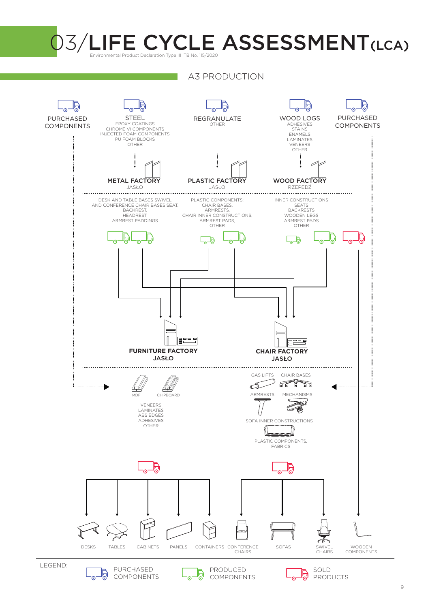

A3 PRODUCTION

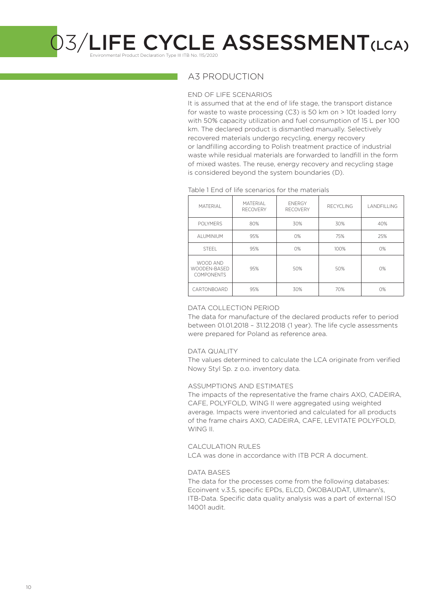Environmental Product Declaration Type III ITB No. 115/2020

#### A3 PRODUCTION

#### END OF LIFE SCENARIOS

It is assumed that at the end of life stage, the transport distance for waste to waste processing (C3) is 50 km on > 10t loaded lorry with 50% capacity utilization and fuel consumption of 15 L per 100 km. The declared product is dismantled manually. Selectively recovered materials undergo recycling, energy recovery or landfilling according to Polish treatment practice of industrial waste while residual materials are forwarded to landfill in the form of mixed wastes. The reuse, energy recovery and recycling stage is considered beyond the system boundaries (D).

#### Table 1 End of life scenarios for the materials

| <b>MATFRIAL</b>                               | <b>MATFRIAL</b><br><b>RECOVERY</b> | <b>FNFRGY</b><br><b>RECOVERY</b> | <b>RECYCLING</b> | LANDFILLING |
|-----------------------------------------------|------------------------------------|----------------------------------|------------------|-------------|
| <b>POLYMERS</b>                               | 80%                                | 30%                              | 30%              | 40%         |
| AI UMINIUM                                    | 95%                                | O%                               | 75%              | 25%         |
| <b>STEEL</b>                                  | 95%                                | O%                               | 100%             | O%          |
| WOOD AND<br>WOODEN-BASED<br><b>COMPONENTS</b> | 95%                                | 50%                              | 50%              | O%          |
| CARTONBOARD                                   | 95%                                | 30%                              | 70%              | 0%          |

#### DATA COLLECTION PERIOD

The data for manufacture of the declared products refer to period between 01.01.2018 – 31.12.2018 (1 year). The life cycle assessments were prepared for Poland as reference area.

#### DATA QUALITY

The values determined to calculate the LCA originate from verified Nowy Styl Sp. z o.o. inventory data.

#### ASSUMPTIONS AND ESTIMATES

The impacts of the representative the frame chairs AXO, CADEIRA, CAFE, POLYFOLD, WING II were aggregated using weighted average. Impacts were inventoried and calculated for all products of the frame chairs AXO, CADEIRA, CAFE, LEVITATE POLYFOLD, WING II.

#### CALCULATION RULES

LCA was done in accordance with ITB PCR A document.

#### DATA BASES

The data for the processes come from the following databases: Ecoinvent v.3.5, specific EPDs, ELCD, ÖKOBAUDAT, Ullmann's, ITB-Data. Specific data quality analysis was a part of external ISO 14001 audit.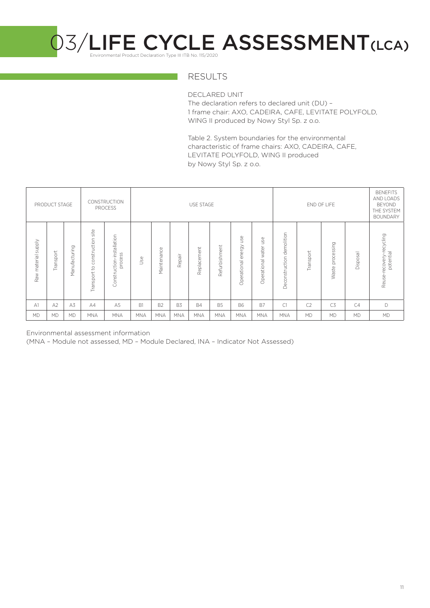

### RESULTS

DECLARED UNIT The declaration refers to declared unit (DU) – 1 frame chair: AXO, CADEIRA, CAFE, LEVITATE POLYFOLD, WING II produced by Nowy Styl Sp. z o.o.

Table 2. System boundaries for the environmental characteristic of frame chairs: AXO, CADEIRA, CAFE, LEVITATE POLYFOLD, WING II produced by Nowy Styl Sp. z o.o.

|                               | PRODUCT STAGE |               |                                               | CONSTRUCTION<br><b>PROCESS</b>       |            | USE STAGE<br>END OF LIFE |            |             |               | <b>BENEFITS</b><br>AND LOADS<br><b>BEYOND</b><br>THE SYSTEM<br><b>BOUNDARY</b> |                                 |                              |                |                     |           |                                       |
|-------------------------------|---------------|---------------|-----------------------------------------------|--------------------------------------|------------|--------------------------|------------|-------------|---------------|--------------------------------------------------------------------------------|---------------------------------|------------------------------|----------------|---------------------|-----------|---------------------------------------|
| <b>Alddns</b><br>Raw material | Transport     | Manufacturing | site<br>construction<br>$\Omega$<br>Transport | Construction-installation<br>process | Jse        | Maintenance              | Repair     | Replacement | Refurbishment | use<br>energy<br>Operational                                                   | 9g<br>∍<br>water<br>Operational | demolition<br>Deconstruction | Transport      | processing<br>Waste | Disposal  | Reuse-recovery-recycling<br>potential |
| A <sub>1</sub>                | A2            | A3            | AA                                            | A <sub>5</sub>                       | B1         | <b>B2</b>                | B3         | <b>B4</b>   | <b>B5</b>     | <b>B6</b>                                                                      | B7                              | C1                           | C <sub>2</sub> | C <sub>3</sub>      | C4        | D                                     |
| <b>MD</b>                     | <b>MD</b>     | <b>MD</b>     | <b>MNA</b>                                    | <b>MNA</b>                           | <b>MNA</b> | <b>MNA</b>               | <b>MNA</b> | <b>MNA</b>  | <b>MNA</b>    | <b>MNA</b>                                                                     | <b>MNA</b>                      | <b>MNA</b>                   | <b>MD</b>      | <b>MD</b>           | <b>MD</b> | <b>MD</b>                             |

Environmental assessment information

(MNA – Module not assessed, MD – Module Declared, INA – Indicator Not Assessed)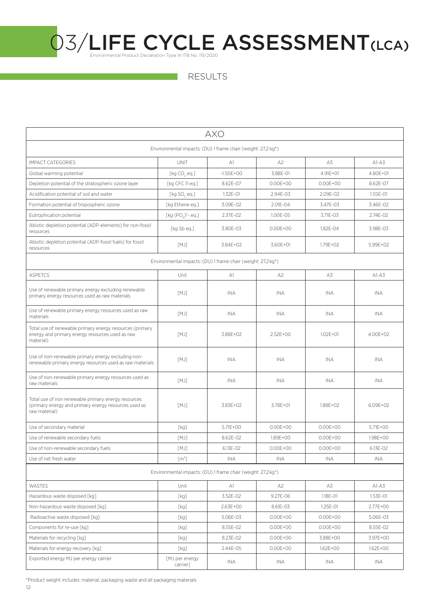RESULTS

| <b>AXO</b>                                                                                                                   |                                                              |               |                |               |              |  |  |  |
|------------------------------------------------------------------------------------------------------------------------------|--------------------------------------------------------------|---------------|----------------|---------------|--------------|--|--|--|
| Environmental impacts: (DU) 1 frame chair (weight: 27,2 kg*)                                                                 |                                                              |               |                |               |              |  |  |  |
| <b>IMPACT CATEGORIES</b>                                                                                                     | <b>UNIT</b>                                                  | A1            | A <sub>2</sub> | A3            | $A1-A3$      |  |  |  |
| Global warming potential                                                                                                     | [ $kg CO, eq.]$                                              | $-1.50E + 00$ | 3.88E-01       | $4.91E + 01$  | 4.80E+01     |  |  |  |
| Depletion potential of the stratospheric ozone layer                                                                         | [kg CFC 11 eq.]                                              | 8.62E-07      | $0.00E + 00$   | $0.00E + 00$  | 8.62E-07     |  |  |  |
| Acidification potential of soil and water                                                                                    | [ $kg$ SO, eq.]                                              | 1.32E-01      | 2.94E-03       | 2.09E-02      | 1.55E-01     |  |  |  |
| Formation potential of tropospheric ozone                                                                                    | [kg Ethene eq.]                                              | 3.09E-02      | 2.01E-04       | 3.47E-03      | 3.46E-02     |  |  |  |
| Eutrophication potential                                                                                                     | [kg $(POA)3$ - eq.]                                          | 2.37E-02      | 1.00E-05       | $3.71F - 0.3$ | 2.74E-02     |  |  |  |
| Abiotic depletion potential (ADP-elements) for non-fossil<br>resources                                                       | [kg Sb eg.]                                                  | 3.80E-03      | $0.00E + 00$   | 1.82E-04      | 3.98E-03     |  |  |  |
| Abiotic depletion potential (ADP-fossil fuels) for fossil<br>resources                                                       | [MJ]                                                         | 3.84E+02      | 3.60E+01       | 1.79E+02      | 5.99E+02     |  |  |  |
| Environmental impacts: (DU) 1 frame chair (weight: 27,2 kg*)                                                                 |                                                              |               |                |               |              |  |  |  |
| <b>ASPETCS</b>                                                                                                               | Unit                                                         | A1            | A <sub>2</sub> | A3            | $A1-A3$      |  |  |  |
| Use of renewable primary energy excluding renewable<br>primary energy resources used as raw materials                        | [MJ]                                                         | <b>INA</b>    | <b>INA</b>     | <b>INA</b>    | <b>INA</b>   |  |  |  |
| Use of renewable primary energy resources used as raw<br>materials                                                           | [MJ]                                                         | <b>INA</b>    | <b>INA</b>     | INA           | <b>INA</b>   |  |  |  |
| Total use of renewable primary energy resources (primary<br>energy and primary energy resources used as raw<br>material)     | [MJ]                                                         | 3.88E+02      | 2.52E+00       | $1.02E + 01$  | 4.00E+02     |  |  |  |
| Use of non-renewable primary energy excluding non-<br>renewable primary energy resources used as raw materials               | [MJ]                                                         | <b>INA</b>    | <b>INA</b>     | <b>INA</b>    | <b>INA</b>   |  |  |  |
| Use of non-renewable primary energy resources used as<br>raw materials                                                       | [MJ]                                                         | <b>INA</b>    | <b>INA</b>     | INA           | INA.         |  |  |  |
| Total use of non renewable primary energy resources<br>(primary energy and primary energy resources used as<br>raw material) | [MJ]                                                         | 3.83E+02      | 3.78E+01       | 1.88E+02      | 6.09E+02     |  |  |  |
| Use of secondary material                                                                                                    | [kg]                                                         | 5.71E+00      | $0.00F + 00$   | $0.00F + 00$  | $5.71F + 00$ |  |  |  |
| Use of renewable secondary fuels                                                                                             | [MJ]                                                         | 8.62E-02      | 1.89E+00       | $0.00E + 00$  | 1.98E+00     |  |  |  |
| Use of non-renewable secondary fuels                                                                                         | [MJ]                                                         | 6.13E-02      | $0.00E + 00$   | $0.00E + 00$  | 6.13E-02     |  |  |  |
| Use of net fresh water                                                                                                       | [m <sup>3</sup> ]                                            | <b>INA</b>    | <b>INA</b>     | <b>INA</b>    | <b>INA</b>   |  |  |  |
|                                                                                                                              | Environmental impacts: (DU) 1 frame chair (weight: 27,2 kg*) |               |                |               |              |  |  |  |
| <b>WASTES</b>                                                                                                                | Unit                                                         | A1            | A2             | A3            | $AI-AS$      |  |  |  |
| Hazardous waste disposed [kq]                                                                                                | [kg]                                                         | 3.52E-02      | 9.27E-06       | 1.18E-01      | 1.53E-01     |  |  |  |
| Non-hazardous waste disposed [kg]                                                                                            | [kg]                                                         | 2.63E+00      | 8.61E-03       | 1.25E-01      | 2.77E+00     |  |  |  |
| Radioactive waste disposed [kg]                                                                                              | [kg]                                                         | 5.06E-03      | $0.00E + 00$   | $0.00E + 00$  | 5.06E-03     |  |  |  |
| Components for re-use [kg]                                                                                                   | [kg]                                                         | 8.55E-02      | $0.00E + 00$   | $0.00E + 00$  | 8.55E-02     |  |  |  |
| Materials for recycling [kg]                                                                                                 | [kg]                                                         | 8.23E-02      | $0.00E + 00$   | 3.88E+00      | 3.97E+00     |  |  |  |
| Materials for energy recovery [kg]                                                                                           | [kg]                                                         | 2.44E-05      | $0.00E + 00$   | 1.62E+00      | 1.62E+00     |  |  |  |
| Exported energy MJ per energy carrier                                                                                        | [MJ per energy<br>carrier]                                   | INA           | INA            | INA           | INA          |  |  |  |

\*Product weight includes: material, packaging waste and all packaging materials

12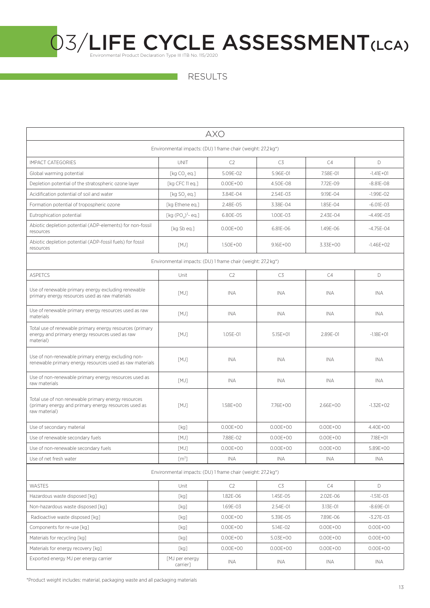| <b>AXO</b>                                                                                                                   |                             |                                                                           |              |              |               |  |  |  |
|------------------------------------------------------------------------------------------------------------------------------|-----------------------------|---------------------------------------------------------------------------|--------------|--------------|---------------|--|--|--|
| Environmental impacts: (DU) 1 frame chair (weight: 27,2 kg*)                                                                 |                             |                                                                           |              |              |               |  |  |  |
| <b>IMPACT CATEGORIES</b>                                                                                                     | <b>UNIT</b>                 | C2                                                                        | C3           | C4           | D             |  |  |  |
| Global warming potential                                                                                                     | [ $kg CO, eq.]$             | 5.09F-02                                                                  | 5.96E-01     | 7.58E-01     | $-1.41E + 01$ |  |  |  |
| Depletion potential of the stratospheric ozone layer                                                                         | [kg CFC 11 eq.]             | $0.00E + 00$                                                              | 4.50E-08     | 7.72E-09     | $-8.81E - 08$ |  |  |  |
| Acidification potential of soil and water                                                                                    | [ $kg$ SO <sub>2</sub> eq.] | 3.84E-04                                                                  | 2.54E-03     | 9.19E-04     | $-1.99E - 02$ |  |  |  |
| Formation potential of tropospheric ozone                                                                                    | [kg Ethene eg.]             | 2.48E-05                                                                  | 3.38E-04     | 1.85E-04     | $-6.01E - 03$ |  |  |  |
| Eutrophication potential                                                                                                     | [kg $(POA)3$ - eq.]         | 6.80E-05                                                                  | 1.00E-03     | 2.43E-04     | $-4.49E - 03$ |  |  |  |
| Abiotic depletion potential (ADP-elements) for non-fossil<br>resources                                                       | [kg Sb eq.]                 | $0.00E + 00$                                                              | 6.81E-06     | 1.49E-06     | $-4.75E - 04$ |  |  |  |
| Abiotic depletion potential (ADP-fossil fuels) for fossil<br>resources                                                       | [MJ]                        | 1.50E+00                                                                  | $9.16E + OO$ | 3.33E+00     | $-1.46E + 02$ |  |  |  |
|                                                                                                                              |                             | Environmental impacts: (DU) 1 frame chair (weight: 27,2 kg <sup>*</sup> ) |              |              |               |  |  |  |
| <b>ASPETCS</b>                                                                                                               | Unit                        | C2                                                                        | C3           | C4           | D.            |  |  |  |
| Use of renewable primary energy excluding renewable<br>primary energy resources used as raw materials                        | [MJ]                        | INA                                                                       | <b>INA</b>   | <b>INA</b>   | <b>INA</b>    |  |  |  |
| Use of renewable primary energy resources used as raw<br>materials                                                           | [MJ]                        | <b>INA</b>                                                                | INA.         | <b>INA</b>   | <b>INA</b>    |  |  |  |
| Total use of renewable primary energy resources (primary<br>energy and primary energy resources used as raw<br>material)     | [MJ]                        | $1.05F - 01$                                                              | $5.15E + 01$ | 2.89F-01     | $-1.18E + 01$ |  |  |  |
| Use of non-renewable primary energy excluding non-<br>renewable primary energy resources used as raw materials               | [MJ]                        | <b>INA</b>                                                                | <b>INA</b>   | INA          | <b>INA</b>    |  |  |  |
| Use of non-renewable primary energy resources used as<br>raw materials                                                       | [MJ]                        | INA                                                                       | INA          | <b>INA</b>   | INA           |  |  |  |
| Total use of non renewable primary energy resources<br>(primary energy and primary energy resources used as<br>raw material) | [MJ]                        | 1.58E+00                                                                  | 7.76E+00     | 2.66E+00     | $-1.32E + 02$ |  |  |  |
| Use of secondary material                                                                                                    | [kg]                        | $0.00E + 00$                                                              | $0.00E + 00$ | $0.00E + 00$ | 4.40E+00      |  |  |  |
| Use of renewable secondary fuels                                                                                             | [MJ]                        | 7.88E-02                                                                  | $0.00E + 00$ | $0.00E + 00$ | 7.18E+01      |  |  |  |
| Use of non-renewable secondary fuels                                                                                         | [MJ]                        | $0.00E + 00$                                                              | $0.00F + 00$ | $0.00E + 00$ | 5.89E+00      |  |  |  |
| Use of net fresh water                                                                                                       | [m <sup>3</sup> ]           | <b>INA</b>                                                                | INA.         | <b>INA</b>   | INA           |  |  |  |
|                                                                                                                              |                             | Environmental impacts: (DU) 1 frame chair (weight: 27,2 kg*)              |              |              |               |  |  |  |
| WASTES                                                                                                                       | Unit                        | C2                                                                        | C3           | C4           | D             |  |  |  |
| Hazardous waste disposed [kq]                                                                                                | [kg]                        | 1.82E-06                                                                  | 1.45E-05     | 2.02E-06     | $-1.51E - 03$ |  |  |  |
| Non-hazardous waste disposed [kg]                                                                                            | [kg]                        | 1.69E-03                                                                  | 2.54E-01     | 3.13E-01     | $-8.69E - 01$ |  |  |  |
| Radioactive waste disposed [kg]                                                                                              | [kg]                        | $0.00E + 00$                                                              | 5.39E-05     | 7.89E-06     | $-3.27E-03$   |  |  |  |
| Components for re-use [kg]                                                                                                   | [kg]                        | $0.00E + 00$                                                              | 5.14E-02     | $0.00E + 00$ | $0.00E + 00$  |  |  |  |
| Materials for recycling [kg]                                                                                                 | [kg]                        | $0.00E + 00$                                                              | 5.03E+00     | $0.00E + 00$ | $0.00E + 00$  |  |  |  |
| Materials for energy recovery [kg]                                                                                           | [kg]                        | $0.00E + 00$                                                              | $0.00E + 00$ | $0.00E + 00$ | $0.00E + 00$  |  |  |  |
| Exported energy MJ per energy carrier                                                                                        | [MJ per energy<br>carrier]  | INA                                                                       | INA          | INA          | INA           |  |  |  |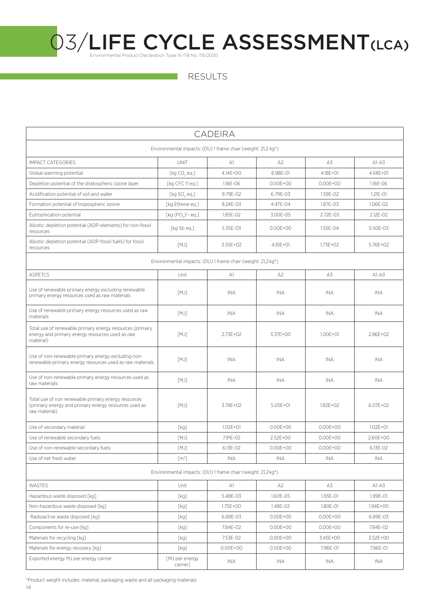

RESULTS

| <b>CADEIRA</b>                                                                                                               |                            |                                                              |                |              |              |  |  |  |
|------------------------------------------------------------------------------------------------------------------------------|----------------------------|--------------------------------------------------------------|----------------|--------------|--------------|--|--|--|
| Environmental impacts: (DU) 1 frame chair (weight: 21,2 kg <sup>*</sup> )                                                    |                            |                                                              |                |              |              |  |  |  |
| <b>IMPACT CATEGORIES</b>                                                                                                     | <b>UNIT</b>                | A1                                                           | A2             | A3           | $AI-A3$      |  |  |  |
| Global warming potential                                                                                                     | [ $kg CO, eq.]$            | $4.14F + 00$                                                 | 8.98E-01       | $4.18E + 01$ | $4.68F + 01$ |  |  |  |
| Depletion potential of the stratospheric ozone layer                                                                         | [kg CFC 11 eq.]            | 1.16E-06                                                     | $0.00E + 00$   | $0.00E + 00$ | 1.16E-06     |  |  |  |
| Acidification potential of soil and water                                                                                    | [ $kg$ SO $,$ eq.]         | 9.79E-02                                                     | 6.79E-03       | 1.59E-02     | 1.21E-01     |  |  |  |
| Formation potential of tropospheric ozone                                                                                    | [kg Ethene eq.]            | 8.24E-03                                                     | 4.47E-04       | 1.87E-03     | 1.06E-02     |  |  |  |
| Eutrophication potential                                                                                                     | [kg $(POA)3$ - eq.]        | 1.85E-02                                                     | 3.00E-05       | 2.72E-03     | 2.12E-02     |  |  |  |
| Abiotic depletion potential (ADP-elements) for non-fossil<br>resources                                                       | [kg Sb eq.]                | 5.35E-03                                                     | $0.00E + 00$   | 1.55E-04     | 5.50E-03     |  |  |  |
| Abiotic depletion potential (ADP-fossil fuels) for fossil<br>resources                                                       | [MJ]                       | 3.55E+02                                                     | 4.81E+01       | $1.73E + 02$ | 5.76E+02     |  |  |  |
|                                                                                                                              |                            | Environmental impacts: (DU) 1 frame chair (weight: 21,2 kg*) |                |              |              |  |  |  |
| <b>ASPETCS</b>                                                                                                               | Unit                       | A1                                                           | A2             | A3           | $A1-A3$      |  |  |  |
| Use of renewable primary energy excluding renewable<br>primary energy resources used as raw materials                        | [MJ]                       | INA                                                          | <b>INA</b>     | INA          | INA          |  |  |  |
| Use of renewable primary energy resources used as raw<br>materials                                                           | [MJ]                       | INA                                                          | INA            | INA          | INA          |  |  |  |
| Total use of renewable primary energy resources (primary<br>energy and primary energy resources used as raw<br>material)     | [MJ]                       | 2.73E+02                                                     | 3.37E+00       | $1.00E + 01$ | 2.86E+02     |  |  |  |
| Use of non-renewable primary energy excluding non-<br>renewable primary energy resources used as raw materials               | [MJ]                       | <b>INA</b>                                                   | <b>INA</b>     | <b>INA</b>   | <b>INA</b>   |  |  |  |
| Use of non-renewable primary energy resources used as<br>raw materials                                                       | [MJ]                       | INA.                                                         | <b>INA</b>     | INA          | INA.         |  |  |  |
| Total use of non renewable primary energy resources<br>(primary energy and primary energy resources used as<br>raw material) | [MJ]                       | 3.74E+02                                                     | 5.05E+01       | $1.82E + 02$ | $6.07E + 02$ |  |  |  |
| Use of secondary material                                                                                                    | [kg]                       | $1.02E + 01$                                                 | $0.00E + 00$   | $0.00E + 00$ | $1.02E + 01$ |  |  |  |
| Use of renewable secondary fuels                                                                                             | [MJ]                       | 7.91F-02                                                     | $2.52F + 00$   | $0.00E + 00$ | 2.60E+00     |  |  |  |
| Use of non-renewable secondary fuels                                                                                         | [MJ]                       | 6.13E-02                                                     | $0.00E + 00$   | $0.00F + 00$ | 6.13E-02     |  |  |  |
| Use of net fresh water                                                                                                       | [m <sup>3</sup> ]          | INA                                                          | INA            | INA          | <b>INA</b>   |  |  |  |
|                                                                                                                              |                            | Environmental impacts: (DU) 1 frame chair (weight: 21,2 kg*) |                |              |              |  |  |  |
| WASTES                                                                                                                       | Unit                       | A1                                                           | A <sub>2</sub> | A3           | $AI-AS$      |  |  |  |
| Hazardous waste disposed [kq]                                                                                                | [kg]                       | 5.48E-03                                                     | 1.60E-05       | 1.93E-01     | 1.99E-01     |  |  |  |
| Non-hazardous waste disposed [kq]                                                                                            | [kg]                       | 1.75E+00                                                     | 1.48E-02       | 1.80E-01     | 1.94E+00     |  |  |  |
| Radioactive waste disposed [kg]                                                                                              | [kg]                       | 6.89E-03                                                     | $0.00E + 00$   | $0.00E + 00$ | 6.89E-03     |  |  |  |
| Components for re-use [kq]                                                                                                   | [kg]                       | 7.84E-02                                                     | $0.00E + 00$   | $0.00E + 00$ | 7.84E-02     |  |  |  |
| Materials for recycling [kg]                                                                                                 | [kg]                       | 7.53E-02                                                     | $0.00E + 00$   | 3.45E+00     | 3.52E+00     |  |  |  |
| Materials for energy recovery [kg]                                                                                           | [kg]                       | $0.00E + 00$                                                 | $0.00E + 00$   | 7.96E-01     | 7.96E-01     |  |  |  |
| Exported energy MJ per energy carrier                                                                                        | [MJ per energy<br>carrier] | INA                                                          | INA            | INA          | INA          |  |  |  |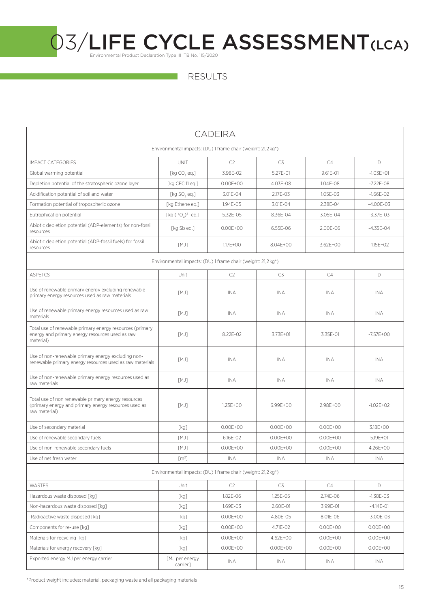

| <b>CADEIRA</b>                                                                                                               |                            |                                                                           |              |              |               |  |  |  |
|------------------------------------------------------------------------------------------------------------------------------|----------------------------|---------------------------------------------------------------------------|--------------|--------------|---------------|--|--|--|
| Environmental impacts: (DU) 1 frame chair (weight: 21,2 kg*)                                                                 |                            |                                                                           |              |              |               |  |  |  |
| <b>IMPACT CATEGORIES</b>                                                                                                     | <b>UNIT</b>                | C2                                                                        | C3           | C4           | D             |  |  |  |
| Global warming potential                                                                                                     | [ $kg CO, eq.]$            | 3.98E-02                                                                  | 5.27E-01     | 9.61E-01     | $-1.03E + 01$ |  |  |  |
| Depletion potential of the stratospheric ozone layer                                                                         | [kg CFC 11 eq.]            | $0.00E + 00$                                                              | 4.03E-08     | 1.04E-08     | $-7.22E - 08$ |  |  |  |
| Acidification potential of soil and water                                                                                    | [kg $SO$ , eq.]            | 3.01E-04                                                                  | 2.17E-03     | 1.05E-03     | $-1.66E-02$   |  |  |  |
| Formation potential of tropospheric ozone                                                                                    | [kg Ethene eq.]            | 1.94E-05                                                                  | 3.01E-04     | 2.38E-04     | $-4.00E-03$   |  |  |  |
| Eutrophication potential                                                                                                     | [kg $(POA)3$ - eq.]        | 5.32E-05                                                                  | 8.36E-04     | 3.05E-04     | $-3.37E - 03$ |  |  |  |
| Abiotic depletion potential (ADP-elements) for non-fossil<br>resources                                                       | [kg Sb eq.]                | $0.00E + 00$                                                              | 6.55E-06     | 2.00E-06     | $-4.35E - 04$ |  |  |  |
| Abiotic depletion potential (ADP-fossil fuels) for fossil<br>resources                                                       | [MJ]                       | $1.17E + 00$                                                              | 8.04E+00     | 3.62E+00     | $-1.15E+O2$   |  |  |  |
|                                                                                                                              |                            | Environmental impacts: (DU) 1 frame chair (weight: 21,2 kg <sup>*</sup> ) |              |              |               |  |  |  |
| <b>ASPETCS</b>                                                                                                               | Unit                       | C2                                                                        | C3           | C4           | D             |  |  |  |
| Use of renewable primary energy excluding renewable<br>primary energy resources used as raw materials                        | [MJ]                       | <b>INA</b>                                                                | <b>INA</b>   | INA          | <b>INA</b>    |  |  |  |
| Use of renewable primary energy resources used as raw<br>materials                                                           | [MJ]                       | INA                                                                       | INA          | INA          | <b>INA</b>    |  |  |  |
| Total use of renewable primary energy resources (primary<br>energy and primary energy resources used as raw<br>material)     | [MJ]                       | 8.22E-02                                                                  | 3.73E+01     | 3.35E-01     | $-7.57E + OO$ |  |  |  |
| Use of non-renewable primary energy excluding non-<br>renewable primary energy resources used as raw materials               | [MJ]                       | INA                                                                       | INA          | <b>INA</b>   | <b>INA</b>    |  |  |  |
| Use of non-renewable primary energy resources used as<br>raw materials                                                       | [MJ]                       | <b>INA</b>                                                                | INA          | INA          | <b>INA</b>    |  |  |  |
| Total use of non renewable primary energy resources<br>(primary energy and primary energy resources used as<br>raw material) | [MJ]                       | $1.23E + 00$                                                              | 6.99E+00     | 2.98E+00     | $-1.02E + 02$ |  |  |  |
| Use of secondary material                                                                                                    | [kg]                       | $0.00E + 00$                                                              | $0.00E + 00$ | $0.00E + 00$ | 3.18E+00      |  |  |  |
| Use of renewable secondary fuels                                                                                             | [MJ]                       | 6.16E-02                                                                  | $0.00E + 00$ | $0.00E + 00$ | $5.19E + 01$  |  |  |  |
| Use of non-renewable secondary fuels                                                                                         | [MJ]                       | $0.00E + 00$                                                              | $0.00E + 00$ | $0.00E + 00$ | 4.26E+00      |  |  |  |
| Use of net fresh water                                                                                                       | [m <sup>3</sup> ]          | INA                                                                       | <b>INA</b>   | INA          | <b>INA</b>    |  |  |  |
|                                                                                                                              |                            | Environmental impacts: (DU) 1 frame chair (weight: 21,2 kg <sup>*</sup> ) |              |              |               |  |  |  |
| <b>WASTES</b>                                                                                                                | Unit                       | C <sub>2</sub>                                                            | C3           | C4           | D             |  |  |  |
| Hazardous waste disposed [kg]                                                                                                | [kg]                       | 1.82E-06                                                                  | 1.25E-05     | 2.74E-06     | $-1.38E - 03$ |  |  |  |
| Non-hazardous waste disposed [kg]                                                                                            | [kg]                       | 1.69E-03                                                                  | 2.60E-01     | 3.99E-01     | $-4.14E - 01$ |  |  |  |
| Radioactive waste disposed [kg]                                                                                              | [kg]                       | $0.00E + 00$                                                              | 4.80E-05     | 8.01E-06     | $-3.00E - 03$ |  |  |  |
| Components for re-use [kq]                                                                                                   | [kg]                       | $0.00E + 00$                                                              | 4.71E-02     | $0.00E + 00$ | $0.00E + 00$  |  |  |  |
| Materials for recycling [kg]                                                                                                 | [kg]                       | $0.00E + 00$                                                              | 4.62E+00     | $0.00E + 00$ | $0.00E + 00$  |  |  |  |
| Materials for energy recovery [kg]                                                                                           | [kg]                       | $0.00E + 00$                                                              | $0.00E + 00$ | $0.00E + 00$ | $0.00E + 00$  |  |  |  |
| Exported energy MJ per energy carrier                                                                                        | [MJ per energy<br>carrier] | ina                                                                       | INA          | INA          | INA           |  |  |  |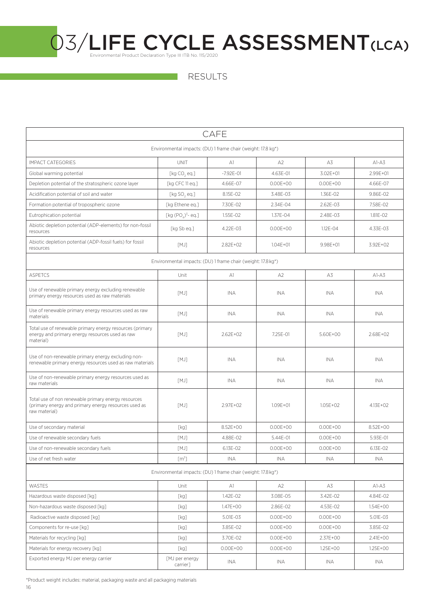RESULTS

| CAFE                                                                                                                         |                                                              |               |                |               |            |  |  |  |
|------------------------------------------------------------------------------------------------------------------------------|--------------------------------------------------------------|---------------|----------------|---------------|------------|--|--|--|
| Environmental impacts: (DU) 1 frame chair (weight: 17.8 kg*)                                                                 |                                                              |               |                |               |            |  |  |  |
| <b>IMPACT CATEGORIES</b>                                                                                                     | <b>UNIT</b>                                                  | A1            | A <sub>2</sub> | A3            | $A1-A3$    |  |  |  |
| Global warming potential                                                                                                     | [kg CO, eq.]                                                 | $-7.92E - 01$ | 4.63E-01       | 3.02E+01      | 2.99E+01   |  |  |  |
| Depletion potential of the stratospheric ozone layer                                                                         | [kg CFC 11 eq.]                                              | 4.66E-07      | $0.00E + 00$   | $0.00E + 00$  | 4.66E-07   |  |  |  |
| Acidification potential of soil and water                                                                                    | [ $kg$ SO, eq.]                                              | 8.15E-02      | 3.48E-03       | 1.36E-02      | 9.86E-02   |  |  |  |
| Formation potential of tropospheric ozone                                                                                    | [kg Ethene eq.]                                              | 7.30E-02      | 2.34E-04       | 2.62E-03      | 7.58E-02   |  |  |  |
| Eutrophication potential                                                                                                     | [kg $(POA)3$ - eq.]                                          | 1.55E-02      | 1.37E-04       | $2.48F - 0.3$ | 1.81F-02   |  |  |  |
| Abiotic depletion potential (ADP-elements) for non-fossil<br>resources                                                       | [kg Sb eg.]                                                  | 4.22E-03      | $0.00E + 00$   | 1.12E-04      | 4.33E-03   |  |  |  |
| Abiotic depletion potential (ADP-fossil fuels) for fossil<br>resources                                                       | [MJ]                                                         | $2.82E + 02$  | $1.04E + 01$   | $9.98E + 01$  | 3.92E+02   |  |  |  |
|                                                                                                                              | Environmental impacts: (DU) 1 frame chair (weight: 17.8 kg*) |               |                |               |            |  |  |  |
| <b>ASPETCS</b>                                                                                                               | Unit                                                         | A1            | A <sub>2</sub> | A3            | $AI-A3$    |  |  |  |
| Use of renewable primary energy excluding renewable<br>primary energy resources used as raw materials                        | [MJ]                                                         | <b>INA</b>    | <b>INA</b>     | <b>INA</b>    | <b>INA</b> |  |  |  |
| Use of renewable primary energy resources used as raw<br>materials                                                           | [MJ]                                                         | <b>INA</b>    | <b>INA</b>     | <b>INA</b>    | INA.       |  |  |  |
| Total use of renewable primary energy resources (primary<br>energy and primary energy resources used as raw<br>material)     | [MJ]                                                         | $2.62E + 02$  | 7.25E-01       | 5.60E+00      | 2.68E+02   |  |  |  |
| Use of non-renewable primary energy excluding non-<br>renewable primary energy resources used as raw materials               | [MJ]                                                         | <b>INA</b>    | <b>INA</b>     | INA           | <b>INA</b> |  |  |  |
| Use of non-renewable primary energy resources used as<br>raw materials                                                       | [MJ]                                                         | INA           | <b>INA</b>     | <b>INA</b>    | INA        |  |  |  |
| Total use of non renewable primary energy resources<br>(primary energy and primary energy resources used as<br>raw material) | [MJ]                                                         | $2.97E + 02$  | $1.09E + 01$   | $1.05E + 02$  | 4.13E+02   |  |  |  |
| Use of secondary material                                                                                                    | [kg]                                                         | $8.52F + 00$  | $0.00E + 00$   | $0.00E + 00$  | 8.52E+00   |  |  |  |
| Use of renewable secondary fuels                                                                                             | [MJ]                                                         | 4.88E-02      | 5.44E-01       | $0.00E + 00$  | 5.93E-01   |  |  |  |
| Use of non-renewable secondary fuels                                                                                         | [MJ]                                                         | 6.13E-02      | $0.00E + 00$   | $0.00E + 00$  | 6.13E-02   |  |  |  |
| Use of net fresh water                                                                                                       | [m <sup>3</sup> ]                                            | <b>INA</b>    | <b>INA</b>     | <b>INA</b>    | <b>INA</b> |  |  |  |
|                                                                                                                              | Environmental impacts: (DU) 1 frame chair (weight: 17.8 kg*) |               |                |               |            |  |  |  |
| WASTES                                                                                                                       | Unit                                                         | A1            | A2             | A3            | $A1-A3$    |  |  |  |
| Hazardous waste disposed [kg]                                                                                                | [kg]                                                         | 1.42E-02      | 3.08E-05       | 3.42E-02      | 4.84E-02   |  |  |  |
| Non-hazardous waste disposed [kg]                                                                                            | [kg]                                                         | 1.47E+00      | 2.86E-02       | 4.53E-02      | 1.54E+00   |  |  |  |
| Radioactive waste disposed [kg]                                                                                              | [kg]                                                         | 5.01E-03      | $0.00E + 00$   | $0.00E + 00$  | 5.01E-03   |  |  |  |
| Components for re-use [kg]                                                                                                   | [kg]                                                         | 3.85E-02      | $0.00E + 00$   | $0.00E + 00$  | 3.85E-02   |  |  |  |
| Materials for recycling [kg]                                                                                                 | [kg]                                                         | 3.70E-02      | $0.00E + 00$   | 2.37E+00      | 2.41E+00   |  |  |  |
| Materials for energy recovery [kg]                                                                                           | [kg]                                                         | $0.00E + 00$  | $0.00E + 00$   | 1.25E+00      | 1.25E+00   |  |  |  |
| Exported energy MJ per energy carrier                                                                                        | [MJ per energy<br>carrier]                                   | INA           | INA            | INA           | INA        |  |  |  |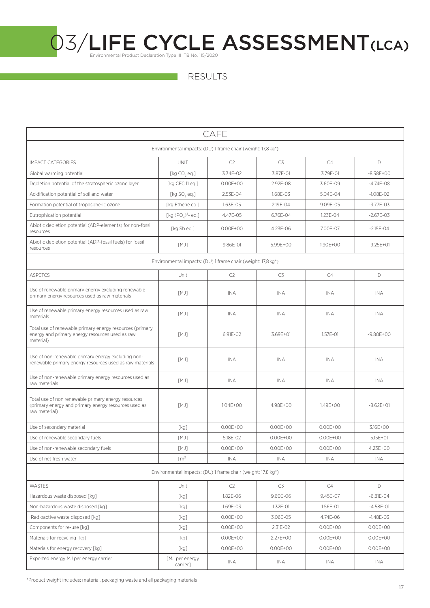RESULTS

| CAFE                                                                                                                         |                                                                                                                                                                                                                                                                                                                                                                                                                     |                                                              |                |              |               |  |  |  |
|------------------------------------------------------------------------------------------------------------------------------|---------------------------------------------------------------------------------------------------------------------------------------------------------------------------------------------------------------------------------------------------------------------------------------------------------------------------------------------------------------------------------------------------------------------|--------------------------------------------------------------|----------------|--------------|---------------|--|--|--|
| Environmental impacts: (DU) 1 frame chair (weight: 17,8 kg*)                                                                 |                                                                                                                                                                                                                                                                                                                                                                                                                     |                                                              |                |              |               |  |  |  |
| <b>IMPACT CATEGORIES</b>                                                                                                     | <b>UNIT</b>                                                                                                                                                                                                                                                                                                                                                                                                         | C2                                                           | C <sub>3</sub> | C4           | D             |  |  |  |
| Global warming potential                                                                                                     | [ $kg CO, eq.]$                                                                                                                                                                                                                                                                                                                                                                                                     | 3.34F-02                                                     | 3.87E-01       | 3.79E-01     | $-8.38E + 00$ |  |  |  |
| Depletion potential of the stratospheric ozone layer                                                                         | [kg CFC 11 eq.]                                                                                                                                                                                                                                                                                                                                                                                                     | $0.00E + 00$                                                 | 2.92E-08       | 3.60E-09     | $-4.74E-08$   |  |  |  |
| Acidification potential of soil and water                                                                                    | $[kg$ SO <sub>2</sub> eq.]                                                                                                                                                                                                                                                                                                                                                                                          | 2.53E-04                                                     | 1.68E-03       | 5.04E-04     | $-1.08E - 02$ |  |  |  |
| Formation potential of tropospheric ozone                                                                                    | [kg Ethene eq.]                                                                                                                                                                                                                                                                                                                                                                                                     | 1.63E-05                                                     | 2.19E-04       | 9.09E-05     | $-3.77E - 03$ |  |  |  |
| Eutrophication potential                                                                                                     | [kg $(POA)3$ - eq.]                                                                                                                                                                                                                                                                                                                                                                                                 | 4.47E-05                                                     | 6.76E-04       | 1.23E-04     | $-2.67E - 03$ |  |  |  |
| Abiotic depletion potential (ADP-elements) for non-fossil<br>resources                                                       | [kg Sb eq.]                                                                                                                                                                                                                                                                                                                                                                                                         | $0.00E + 00$                                                 | 4.23E-06       | 7.00E-07     | $-2.15E - 04$ |  |  |  |
| Abiotic depletion potential (ADP-fossil fuels) for fossil<br>resources                                                       | [MJ]                                                                                                                                                                                                                                                                                                                                                                                                                | 9.86E-01                                                     | 5.99E+00       | 1.90E+00     | $-9.25E + 01$ |  |  |  |
|                                                                                                                              |                                                                                                                                                                                                                                                                                                                                                                                                                     | Environmental impacts: (DU) 1 frame chair (weight: 17,8 kg*) |                |              |               |  |  |  |
| <b>ASPETCS</b>                                                                                                               | Unit                                                                                                                                                                                                                                                                                                                                                                                                                | C2                                                           | C3             | C4           | D             |  |  |  |
| Use of renewable primary energy excluding renewable<br>primary energy resources used as raw materials                        | [MJ]                                                                                                                                                                                                                                                                                                                                                                                                                | <b>INA</b>                                                   | INA.           | INA          | <b>INA</b>    |  |  |  |
| Use of renewable primary energy resources used as raw<br>materials                                                           | [MJ]                                                                                                                                                                                                                                                                                                                                                                                                                | <b>INA</b>                                                   | INA            | <b>INA</b>   | INA           |  |  |  |
| Total use of renewable primary energy resources (primary<br>energy and primary energy resources used as raw<br>material)     | [MJ]                                                                                                                                                                                                                                                                                                                                                                                                                | 6.91E-02                                                     | 3.69E+01       | 1.57E-01     | $-9.80E + 00$ |  |  |  |
| Use of non-renewable primary energy excluding non-<br>renewable primary energy resources used as raw materials               | [MJ]                                                                                                                                                                                                                                                                                                                                                                                                                | <b>INA</b>                                                   | <b>INA</b>     | <b>INA</b>   | <b>INA</b>    |  |  |  |
| Use of non-renewable primary energy resources used as<br>raw materials                                                       | [MJ]                                                                                                                                                                                                                                                                                                                                                                                                                | <b>INA</b>                                                   | <b>INA</b>     | <b>INA</b>   | <b>INA</b>    |  |  |  |
| Total use of non renewable primary energy resources<br>(primary energy and primary energy resources used as<br>raw material) | [MJ]                                                                                                                                                                                                                                                                                                                                                                                                                | $1.04E + 00$                                                 | 4.98E+00       | $1.49E + 00$ | $-8.62E + 01$ |  |  |  |
| Use of secondary material                                                                                                    | [kg]                                                                                                                                                                                                                                                                                                                                                                                                                | $0.00E + 00$                                                 | $0.00F + 00$   | $0.00E + 00$ | 3.16E+00      |  |  |  |
| Use of renewable secondary fuels                                                                                             | [MJ]                                                                                                                                                                                                                                                                                                                                                                                                                | 5.18E-02                                                     | $0.00E + 00$   | $0.00E + 00$ | $5.15F + 01$  |  |  |  |
| Use of non-renewable secondary fuels                                                                                         | [MJ]                                                                                                                                                                                                                                                                                                                                                                                                                | $0.00E + 00$                                                 | $0.00E + 00$   | $0.00E + 00$ | 4.23E+00      |  |  |  |
| Use of net fresh water                                                                                                       | [m <sup>3</sup> ]                                                                                                                                                                                                                                                                                                                                                                                                   | <b>INA</b>                                                   | <b>INA</b>     | INA          | INA           |  |  |  |
|                                                                                                                              |                                                                                                                                                                                                                                                                                                                                                                                                                     | Environmental impacts: (DU) 1 frame chair (weight: 17,8 kg*) |                |              |               |  |  |  |
| WASTES                                                                                                                       | Unit                                                                                                                                                                                                                                                                                                                                                                                                                | C2                                                           | C3             | C4           | D             |  |  |  |
| Hazardous waste disposed [kq]                                                                                                | [kg]                                                                                                                                                                                                                                                                                                                                                                                                                | 1.82E-06                                                     | 9.60E-06       | 9.45E-07     | $-6.81E - 04$ |  |  |  |
| Non-hazardous waste disposed [kg]                                                                                            | [kg]                                                                                                                                                                                                                                                                                                                                                                                                                | 1.69E-03                                                     | 1.32E-01       | 1.56E-01     | $-4.58E - 01$ |  |  |  |
| Radioactive waste disposed [kg]                                                                                              | [kg]                                                                                                                                                                                                                                                                                                                                                                                                                | $0.00E + 00$                                                 | 3.06E-05       | 4.74E-06     | $-1.48E - 03$ |  |  |  |
| Components for re-use [kg]                                                                                                   | [kg]                                                                                                                                                                                                                                                                                                                                                                                                                | $0.00E + 00$                                                 | 2.31E-02       | $0.00E + 00$ | $0.00E + 00$  |  |  |  |
| Materials for recycling [kg]                                                                                                 | [kg]                                                                                                                                                                                                                                                                                                                                                                                                                | $0.00E + 00$                                                 | 2.27E+00       | $0.00E + 00$ | $0.00E + 00$  |  |  |  |
| Materials for energy recovery [kg]                                                                                           | $[kg] \centering% \includegraphics[width=1\textwidth]{Figures/PN1000228_180022_160.pdf} \includegraphics[width=1\textwidth]{Figures/PN100022_16002_16002_160.pdf} \includegraphics[width=1\textwidth]{Figures/PN100022_16002_16002_16002_160.pdf} \includegraphics[width=1\textwidth]{Figures/PN100002_16002_16002_16002_16002_16002_160.pdf} \includegraphics[width=1\textwidth]{Figures/PN100002_16002_16002_160$ | $0.00E + 00$                                                 | $0.00E + 00$   | $0.00E + 00$ | $0.00E + 00$  |  |  |  |
| Exported energy MJ per energy carrier                                                                                        | [MJ per energy<br>carrier]                                                                                                                                                                                                                                                                                                                                                                                          | INA                                                          | INA            | INA          | INA           |  |  |  |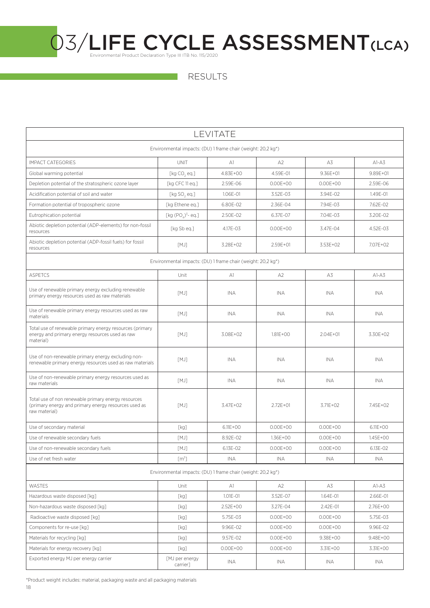RESULTS

| LEVITATE                                                                                                                     |                            |                                                              |                |              |              |  |  |  |
|------------------------------------------------------------------------------------------------------------------------------|----------------------------|--------------------------------------------------------------|----------------|--------------|--------------|--|--|--|
| Environmental impacts: (DU) 1 frame chair (weight: 20,2 kg <sup>*</sup> )                                                    |                            |                                                              |                |              |              |  |  |  |
| <b>IMPACT CATEGORIES</b>                                                                                                     | <b>UNIT</b>                | A1                                                           | A <sub>2</sub> | A3           | $A1-A3$      |  |  |  |
| Global warming potential                                                                                                     | [ $kg CO, eq.]$            | 4.83E+00                                                     | 4.59E-01       | $9.36E + 01$ | $9.89E + 01$ |  |  |  |
| Depletion potential of the stratospheric ozone layer                                                                         | [kg CFC 11 eq.]            | 2.59E-06                                                     | $0.00E + 00$   | $0.00E + 00$ | 2.59E-06     |  |  |  |
| Acidification potential of soil and water                                                                                    | [ $kg$ SO, eq.]            | 1.06E-01                                                     | 3.52E-03       | 3.94E-02     | 1.49E-01     |  |  |  |
| Formation potential of tropospheric ozone                                                                                    | [kg Ethene eq.]            | 6.80E-02                                                     | 2.36E-04       | 7.94E-03     | 7.62E-02     |  |  |  |
| Eutrophication potential                                                                                                     | [kg $(PO4)3$ - eq.]        | 2.50E-02                                                     | 6.37E-07       | 7.04E-03     | 3.20E-02     |  |  |  |
| Abiotic depletion potential (ADP-elements) for non-fossil<br>resources                                                       | [kg Sb eq.]                | 4.17E-03                                                     | $0.00E + 00$   | 3.47E-04     | 4.52E-03     |  |  |  |
| Abiotic depletion potential (ADP-fossil fuels) for fossil<br>resources                                                       | [MJ]                       | 3.28E+02                                                     | 2.59E+01       | 3.53E+02     | 7.07E+02     |  |  |  |
|                                                                                                                              |                            | Environmental impacts: (DU) 1 frame chair (weight: 20,2 kg*) |                |              |              |  |  |  |
| <b>ASPETCS</b>                                                                                                               | Unit                       | A1                                                           | A <sub>2</sub> | A3           | $A1-A3$      |  |  |  |
| Use of renewable primary energy excluding renewable<br>primary energy resources used as raw materials                        | [MJ]                       | <b>INA</b>                                                   | INA            | INA          | INA          |  |  |  |
| Use of renewable primary energy resources used as raw<br>materials                                                           | [MJ]                       | <b>INA</b>                                                   | INA            | INA          | <b>INA</b>   |  |  |  |
| Total use of renewable primary energy resources (primary<br>energy and primary energy resources used as raw<br>material)     | [MJ]                       | 3.08E+02                                                     | 1.81E+00       | 2.04E+01     | 3.30E+02     |  |  |  |
| Use of non-renewable primary energy excluding non-<br>renewable primary energy resources used as raw materials               | [MJ]                       | <b>INA</b>                                                   | <b>INA</b>     | <b>INA</b>   | <b>INA</b>   |  |  |  |
| Use of non-renewable primary energy resources used as<br>raw materials                                                       | [MJ]                       | INA.                                                         | <b>INA</b>     | INA          | INA.         |  |  |  |
| Total use of non renewable primary energy resources<br>(primary energy and primary energy resources used as<br>raw material) | [MJ]                       | 3.47E+02                                                     | $2.72E + 01$   | 3.71E+02     | 7.45E+02     |  |  |  |
| Use of secondary material                                                                                                    | [kg]                       | $6.11E + OO$                                                 | $0.00E + 00$   | $0.00E + 00$ | 6.11E+00     |  |  |  |
| Use of renewable secondary fuels                                                                                             | [MJ]                       | 8.92E-02                                                     | 1.36E+00       | $0.00E + 00$ | $1.45E + 00$ |  |  |  |
| Use of non-renewable secondary fuels                                                                                         | [MJ]                       | 6.13E-02                                                     | $0.00E + 00$   | $0.00E + 00$ | 6.13E-02     |  |  |  |
| Use of net fresh water                                                                                                       | [m <sup>3</sup> ]          | INA                                                          | INA            | INA          | INA          |  |  |  |
|                                                                                                                              |                            | Environmental impacts: (DU) 1 frame chair (weight: 20,2 kg*) |                |              |              |  |  |  |
| WASTES                                                                                                                       | Unit                       | A1                                                           | A <sub>2</sub> | A3           | $AI-A3$      |  |  |  |
| Hazardous waste disposed [kg]                                                                                                | [kg]                       | 1.01E-01                                                     | 3.52E-07       | 1.64E-01     | 2.66E-01     |  |  |  |
| Non-hazardous waste disposed [kq]                                                                                            | [kg]                       | 2.52E+00                                                     | 3.27E-04       | 2.42E-01     | 2.76E+00     |  |  |  |
| Radioactive waste disposed [kq]                                                                                              | [kg]                       | 5.75E-03                                                     | $0.00E + 00$   | $0.00E + 00$ | 5.75E-03     |  |  |  |
| Components for re-use [kg]                                                                                                   | [kg]                       | 9.96E-02                                                     | $0.00E + 00$   | $0.00E + 00$ | 9.96E-02     |  |  |  |
| Materials for recycling [kg]                                                                                                 | [kg]                       | 9.57E-02                                                     | $0.00E + 00$   | 9.38E+00     | 9.48E+00     |  |  |  |
| Materials for energy recovery [kg]                                                                                           | [kg]                       | $0.00E + 00$                                                 | $0.00E + 00$   | 3.31E+00     | 3.31E+00     |  |  |  |
| Exported energy MJ per energy carrier                                                                                        | [MJ per energy<br>carrier] | INA                                                          | INA            | INA          | INA          |  |  |  |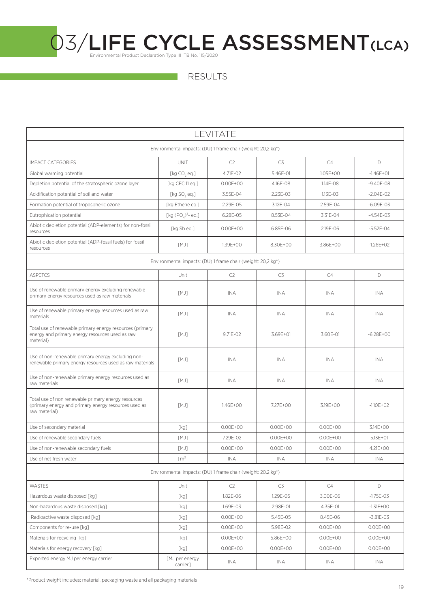| LEVITATE                                                                                                                     |                                                              |              |              |              |               |  |  |  |
|------------------------------------------------------------------------------------------------------------------------------|--------------------------------------------------------------|--------------|--------------|--------------|---------------|--|--|--|
| Environmental impacts: (DU) 1 frame chair (weight: 20,2 kg*)                                                                 |                                                              |              |              |              |               |  |  |  |
| <b>IMPACT CATEGORIES</b>                                                                                                     | <b>UNIT</b>                                                  | C2           | C3           | C4           | D             |  |  |  |
| Global warming potential                                                                                                     | [ $kg CO, eq.]$                                              | 4.71E-02     | 5.46E-01     | 1.05E+00     | $-1.46E + 01$ |  |  |  |
| Depletion potential of the stratospheric ozone layer                                                                         | [kg CFC 11 eq.]                                              | $0.00E + 00$ | 4.16E-08     | 1.14E-08     | $-9.40E - 08$ |  |  |  |
| Acidification potential of soil and water                                                                                    | [ $kg$ SO <sub>2</sub> eq.]                                  | 3.55E-04     | 2.23E-03     | 1.13E-03     | $-2.04E-02$   |  |  |  |
| Formation potential of tropospheric ozone                                                                                    | [kg Ethene eq.]                                              | 2.29E-05     | 3.12E-04     | 2.59E-04     | $-6.09E - 03$ |  |  |  |
| Eutrophication potential                                                                                                     | [kg $(PO4)3$ - eq.]                                          | 6.28E-05     | 8.53E-04     | 3.31E-04     | $-4.54E-03$   |  |  |  |
| Abiotic depletion potential (ADP-elements) for non-fossil<br>resources                                                       | [kg Sb eq.]                                                  | $0.00E + 00$ | 6.85E-06     | 2.19E-06     | $-5.52E - 04$ |  |  |  |
| Abiotic depletion potential (ADP-fossil fuels) for fossil<br>resources                                                       | [MJ]                                                         | 1.39E+00     | 8.30E+00     | 3.86E+00     | $-1.26E + 02$ |  |  |  |
|                                                                                                                              | Environmental impacts: (DU) 1 frame chair (weight: 20,2 kg*) |              |              |              |               |  |  |  |
| <b>ASPETCS</b>                                                                                                               | Unit                                                         | C2           | C3           | C4           | D             |  |  |  |
| Use of renewable primary energy excluding renewable<br>primary energy resources used as raw materials                        | [MJ]                                                         | <b>INA</b>   | <b>INA</b>   | INA          | <b>INA</b>    |  |  |  |
| Use of renewable primary energy resources used as raw<br>materials                                                           | [MJ]                                                         | <b>INA</b>   | INA          | INA          | INA           |  |  |  |
| Total use of renewable primary energy resources (primary<br>energy and primary energy resources used as raw<br>material)     | [MJ]                                                         | 9.71E-02     | 3.69E+01     | 3.60E-01     | $-6.28E+00$   |  |  |  |
| Use of non-renewable primary energy excluding non-<br>renewable primary energy resources used as raw materials               | [MJ]                                                         | <b>INA</b>   | <b>INA</b>   | <b>INA</b>   | <b>INA</b>    |  |  |  |
| Use of non-renewable primary energy resources used as<br>raw materials                                                       | [MJ]                                                         | <b>INA</b>   | <b>INA</b>   | <b>INA</b>   | <b>INA</b>    |  |  |  |
| Total use of non renewable primary energy resources<br>(primary energy and primary energy resources used as<br>raw material) | [MJ]                                                         | $1.46E + 00$ | 7.27E+00     | 3.19E+00     | $-1.10E + 02$ |  |  |  |
| Use of secondary material                                                                                                    | [kg]                                                         | $0.00E + 00$ | $0.00E + 00$ | $0.00E + 00$ | 3.14E+00      |  |  |  |
| Use of renewable secondary fuels                                                                                             | [MJ]                                                         | 7.29F-02     | $0.00E + 00$ | $0.00E + 00$ | 5.13E+01      |  |  |  |
| Use of non-renewable secondary fuels                                                                                         | $[MJ]$                                                       | $0.00E + 00$ | $0.00E + 00$ | $0.00E + 00$ | 4.21E+00      |  |  |  |
| Use of net fresh water                                                                                                       | [m <sup>3</sup> ]                                            | INA          | INA          | INA          | <b>INA</b>    |  |  |  |
|                                                                                                                              | Environmental impacts: (DU) 1 frame chair (weight: 20,2 kg*) |              |              |              |               |  |  |  |
| WASTES                                                                                                                       | Unit                                                         | C2           | C3           | C4           | D             |  |  |  |
| Hazardous waste disposed [kg]                                                                                                | [kg]                                                         | 1.82E-06     | 1.29E-05     | 3.00E-06     | $-1.75E - 03$ |  |  |  |
| Non-hazardous waste disposed [kg]                                                                                            | [kg]                                                         | 1.69E-03     | 2.98E-01     | 4.35E-01     | $-1.31E + 00$ |  |  |  |
| Radioactive waste disposed [kq]                                                                                              | [kg]                                                         | $0.00E + 00$ | 5.45E-05     | 8.45E-06     | $-3.81E - 03$ |  |  |  |
| Components for re-use [kg]                                                                                                   | [kg]                                                         | $0.00E + 00$ | 5.98E-02     | $0.00E + 00$ | $0.00E + 00$  |  |  |  |
| Materials for recycling [kg]                                                                                                 | [kg]                                                         | $0.00E + 00$ | 5.86E+00     | $0.00E + 00$ | $0.00E + 00$  |  |  |  |
| Materials for energy recovery [kg]                                                                                           | [kg]                                                         | $0.00E + 00$ | $0.00E + 00$ | $0.00E + 00$ | $0.00E + 00$  |  |  |  |
| Exported energy MJ per energy carrier                                                                                        | [MJ per energy<br>carrier]                                   | INA.         | INA          | INA          | INA           |  |  |  |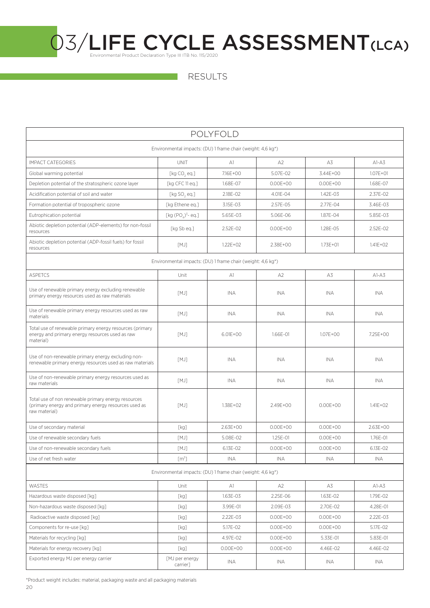RESULTS

| <b>POLYFOLD</b>                                                                                                              |                                                                                                                                                                                                           |                                                             |                |              |              |  |  |  |
|------------------------------------------------------------------------------------------------------------------------------|-----------------------------------------------------------------------------------------------------------------------------------------------------------------------------------------------------------|-------------------------------------------------------------|----------------|--------------|--------------|--|--|--|
| Environmental impacts: (DU) 1 frame chair (weight: 4,6 kg*)                                                                  |                                                                                                                                                                                                           |                                                             |                |              |              |  |  |  |
| <b>IMPACT CATEGORIES</b>                                                                                                     | <b>UNIT</b>                                                                                                                                                                                               | A1                                                          | A <sub>2</sub> | A3           | $AI-AS$      |  |  |  |
| Global warming potential                                                                                                     | [ $kg CO, eq.]$                                                                                                                                                                                           | 7.16E+00                                                    | 5.07E-02       | 3.44E+00     | $1.07E + 01$ |  |  |  |
| Depletion potential of the stratospheric ozone layer                                                                         | [kg CFC 11 eq.]                                                                                                                                                                                           | 1.68E-07                                                    | $0.00E + 00$   | $0.00E + 00$ | 1.68E-07     |  |  |  |
| Acidification potential of soil and water                                                                                    | [kg SO, eq.]                                                                                                                                                                                              | 2.18E-02                                                    | 4.01E-04       | 1.42E-03     | 2.37E-02     |  |  |  |
| Formation potential of tropospheric ozone                                                                                    | [kg Ethene eq.]                                                                                                                                                                                           | 3.15E-03                                                    | 2.57E-05       | 2.77E-04     | 3.46E-03     |  |  |  |
| Eutrophication potential                                                                                                     | [kg $(PO4)3$ - eq.]                                                                                                                                                                                       | 5.65E-03                                                    | 5.06E-06       | 1.87E-04     | 5.85E-03     |  |  |  |
| Abiotic depletion potential (ADP-elements) for non-fossil<br>resources                                                       | [kg Sb eq.]                                                                                                                                                                                               | 2.52E-02                                                    | $0.00E + 00$   | 1.28E-05     | 2.52E-02     |  |  |  |
| Abiotic depletion potential (ADP-fossil fuels) for fossil<br>resources                                                       | [MJ]                                                                                                                                                                                                      | $1.22E + 02$                                                | 2.38E+00       | $1.73E + 01$ | $1.41E + 02$ |  |  |  |
|                                                                                                                              |                                                                                                                                                                                                           | Environmental impacts: (DU) 1 frame chair (weight: 4,6 kg*) |                |              |              |  |  |  |
| <b>ASPETCS</b>                                                                                                               | Unit                                                                                                                                                                                                      | A1                                                          | A <sub>2</sub> | A3           | $A1-A3$      |  |  |  |
| Use of renewable primary energy excluding renewable<br>primary energy resources used as raw materials                        | [MJ]                                                                                                                                                                                                      | <b>INA</b>                                                  | <b>INA</b>     | INA          | <b>INA</b>   |  |  |  |
| Use of renewable primary energy resources used as raw<br>materials                                                           | [MJ]                                                                                                                                                                                                      | <b>INA</b>                                                  | <b>INA</b>     | INA          | <b>INA</b>   |  |  |  |
| Total use of renewable primary energy resources (primary<br>energy and primary energy resources used as raw<br>material)     | [MJ]                                                                                                                                                                                                      | $6.01E + 00$                                                | 1.66E-01       | $1.07E + 00$ | 7.25E+00     |  |  |  |
| Use of non-renewable primary energy excluding non-<br>renewable primary energy resources used as raw materials               | [MJ]                                                                                                                                                                                                      | INA.                                                        | <b>INA</b>     | INA          | <b>INA</b>   |  |  |  |
| Use of non-renewable primary energy resources used as<br>raw materials                                                       | [MJ]                                                                                                                                                                                                      | <b>INA</b>                                                  | INA            | INA          | INA          |  |  |  |
| Total use of non renewable primary energy resources<br>(primary energy and primary energy resources used as<br>raw material) | [MJ]                                                                                                                                                                                                      | 1.38E+02                                                    | 2.49E+00       | $0.00E + 00$ | $1.41E + 02$ |  |  |  |
| Use of secondary material                                                                                                    | [kg]                                                                                                                                                                                                      | 2.63E+00                                                    | $0.00E + 00$   | $0.00E + 00$ | 2.63E+00     |  |  |  |
| Use of renewable secondary fuels                                                                                             | [MJ]                                                                                                                                                                                                      | 5.08E-02                                                    | 1.25E-01       | $0.00E + 00$ | 1.76E-01     |  |  |  |
| Use of non-renewable secondary fuels                                                                                         | $[MJ] \centering% \includegraphics[width=1.0\textwidth]{Figures/PN1.png} \caption{The 3D (top) and 4D (bottom) are shown in the left and right. The 4D (bottom) is shown in the right.} \label{fig:TPN1}$ | 6.13E-02                                                    | $0.00E + 00$   | $0.00E + 00$ | 6.13E-02     |  |  |  |
| Use of net fresh water                                                                                                       | [m <sup>3</sup> ]                                                                                                                                                                                         | INA                                                         | INA            | <b>INA</b>   | INA          |  |  |  |
|                                                                                                                              |                                                                                                                                                                                                           | Environmental impacts: (DU) 1 frame chair (weight: 4,6 kg*) |                |              |              |  |  |  |
| WASTES                                                                                                                       | Unit                                                                                                                                                                                                      | A1                                                          | A2             | A3           | $A1-A3$      |  |  |  |
| Hazardous waste disposed [kg]                                                                                                | [kg]                                                                                                                                                                                                      | 1.63E-03                                                    | 2.25E-06       | 1.63E-02     | 1.79E-02     |  |  |  |
| Non-hazardous waste disposed [kq]                                                                                            | [kg]                                                                                                                                                                                                      | 3.99E-01                                                    | 2.09E-03       | 2.70E-02     | 4.28E-01     |  |  |  |
| Radioactive waste disposed [kg]                                                                                              | [kg]                                                                                                                                                                                                      | 2.22E-03                                                    | $0.00E + 00$   | $0.00E + 00$ | 2.22E-03     |  |  |  |
| Components for re-use [kg]                                                                                                   | [kg]                                                                                                                                                                                                      | 5.17E-02                                                    | $0.00E + 00$   | $0.00E + 00$ | 5.17E-02     |  |  |  |
| Materials for recycling [kg]                                                                                                 | [kg]                                                                                                                                                                                                      | 4.97E-02                                                    | $0.00E + 00$   | 5.33E-01     | 5.83E-01     |  |  |  |
| Materials for energy recovery [kg]                                                                                           | [kg]                                                                                                                                                                                                      | $0.00E + 00$                                                | $0.00E + 00$   | 4.46E-02     | 4.46E-02     |  |  |  |
| Exported energy MJ per energy carrier                                                                                        | [MJ per energy<br>carrier]                                                                                                                                                                                | INA                                                         | INA            | INA          | INA          |  |  |  |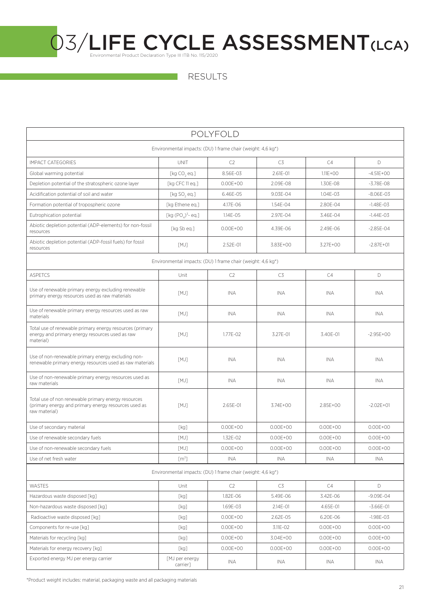| POLYFOLD                                                                                                                     |                                                             |              |              |              |               |  |  |  |
|------------------------------------------------------------------------------------------------------------------------------|-------------------------------------------------------------|--------------|--------------|--------------|---------------|--|--|--|
| Environmental impacts: (DU) 1 frame chair (weight: 4,6 kg*)                                                                  |                                                             |              |              |              |               |  |  |  |
| <b>IMPACT CATEGORIES</b>                                                                                                     | <b>UNIT</b>                                                 | C2           | C3           | C4           | D             |  |  |  |
| Global warming potential                                                                                                     | [ $kg CO, eq.]$                                             | 8.56E-03     | $2.61E - 01$ | $1.11E + 00$ | $-4.51E+00$   |  |  |  |
| Depletion potential of the stratospheric ozone layer                                                                         | [kg CFC 11 eq.]                                             | $0.00E + 00$ | 2.09E-08     | 1.30E-08     | $-3.78E-08$   |  |  |  |
| Acidification potential of soil and water                                                                                    | [ $kg$ SO <sub>2</sub> eq.]                                 | 6.46E-05     | 9.03E-04     | 1.04E-03     | $-8.06E - 03$ |  |  |  |
| Formation potential of tropospheric ozone                                                                                    | [kg Ethene eq.]                                             | 4.17E-06     | 1.54E-04     | 2.80E-04     | $-1.48E - 03$ |  |  |  |
| Eutrophication potential                                                                                                     | [kg $(PO4)3$ - eq.]                                         | 1.14E-05     | 2.97E-04     | 3.46E-04     | $-1.44E - 03$ |  |  |  |
| Abiotic depletion potential (ADP-elements) for non-fossil<br>resources                                                       | [kg Sb eq.]                                                 | $0.00E + 00$ | 4.39E-06     | 2.49E-06     | $-2.85E - 04$ |  |  |  |
| Abiotic depletion potential (ADP-fossil fuels) for fossil<br>resources                                                       | [MJ]                                                        | 2.52E-01     | 3.83E+00     | 3.27E+00     | $-2.87E + 01$ |  |  |  |
|                                                                                                                              | Environmental impacts: (DU) 1 frame chair (weight: 4,6 kg*) |              |              |              |               |  |  |  |
| <b>ASPETCS</b>                                                                                                               | Unit                                                        | C2           | C3           | C4           | D             |  |  |  |
| Use of renewable primary energy excluding renewable<br>primary energy resources used as raw materials                        | [MJ]                                                        | <b>INA</b>   | INA          | INA          | INA           |  |  |  |
| Use of renewable primary energy resources used as raw<br>materials                                                           | [MJ]                                                        | <b>INA</b>   | INA          | INA          | INA           |  |  |  |
| Total use of renewable primary energy resources (primary<br>energy and primary energy resources used as raw<br>material)     | [MJ]                                                        | 1.77E-02     | 3.27E-01     | 3.40E-01     | $-2.95E+00$   |  |  |  |
| Use of non-renewable primary energy excluding non-<br>renewable primary energy resources used as raw materials               | [MJ]                                                        | <b>INA</b>   | <b>INA</b>   | <b>INA</b>   | <b>INA</b>    |  |  |  |
| Use of non-renewable primary energy resources used as<br>raw materials                                                       | [MJ]                                                        | <b>INA</b>   | INA          | <b>INA</b>   | <b>INA</b>    |  |  |  |
| Total use of non renewable primary energy resources<br>(primary energy and primary energy resources used as<br>raw material) | [MJ]                                                        | 2.65E-01     | 3.74E+00     | 2.85E+00     | $-2.02E + 01$ |  |  |  |
| Use of secondary material                                                                                                    | [kg]                                                        | $0.00E + 00$ | $0.00E + 00$ | $0.00E + 00$ | $0.00E + 00$  |  |  |  |
| Use of renewable secondary fuels                                                                                             | [MJ]                                                        | 1.32E-02     | $0.00E + 00$ | $0.00E + 00$ | $0.00E + 00$  |  |  |  |
| Use of non-renewable secondary fuels                                                                                         | [MJ]                                                        | $0.00E + 00$ | $0.00E + 00$ | $0.00E + 00$ | $0.00E + 00$  |  |  |  |
| Use of net fresh water                                                                                                       | [m <sup>3</sup> ]                                           | INA          | INA          | INA          | <b>INA</b>    |  |  |  |
|                                                                                                                              | Environmental impacts: (DU) 1 frame chair (weight: 4,6 kg*) |              |              |              |               |  |  |  |
| <b>WASTES</b>                                                                                                                | Unit                                                        | C2           | C3           | C4           | D             |  |  |  |
| Hazardous waste disposed [kg]                                                                                                | [kg]                                                        | 1.82E-06     | 5.49E-06     | 3.42E-06     | $-9.09E - 04$ |  |  |  |
| Non-hazardous waste disposed [kg]                                                                                            | [kg]                                                        | 1.69E-03     | 2.14E-01     | 4.65E-01     | $-3.66E - 01$ |  |  |  |
| Radioactive waste disposed [kg]                                                                                              | [kg]                                                        | $0.00E + 00$ | 2.62E-05     | 6.20E-06     | $-1.98E - 03$ |  |  |  |
| Components for re-use [kg]                                                                                                   | [kg]                                                        | $0.00E + 00$ | 3.11E-02     | $0.00E + 00$ | $0.00E + 00$  |  |  |  |
| Materials for recycling [kg]                                                                                                 | [kg]                                                        | $0.00E + 00$ | 3.04E+00     | $0.00E + 00$ | $0.00E + 00$  |  |  |  |
| Materials for energy recovery [kg]                                                                                           | [kg]                                                        | $0.00E + 00$ | $0.00E + 00$ | $0.00E + 00$ | $0.00E + 00$  |  |  |  |
| Exported energy MJ per energy carrier                                                                                        | [MJ per energy<br>carrier]                                  | INA          | INA          | INA          | <b>INA</b>    |  |  |  |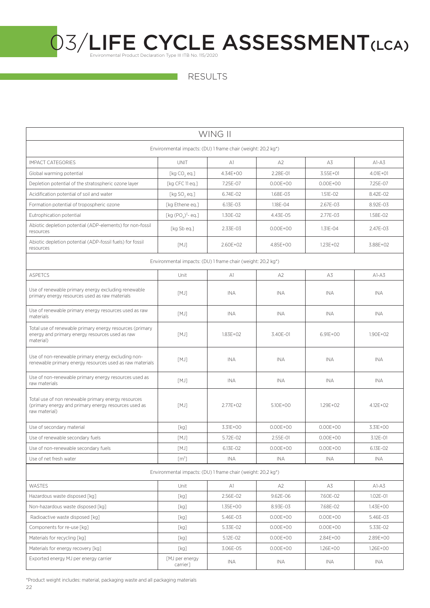RESULTS

| WING II                                                                                                                      |                             |              |                |              |              |  |  |  |
|------------------------------------------------------------------------------------------------------------------------------|-----------------------------|--------------|----------------|--------------|--------------|--|--|--|
| Environmental impacts: (DU) 1 frame chair (weight: 20,2 kg*)                                                                 |                             |              |                |              |              |  |  |  |
| <b>IMPACT CATEGORIES</b>                                                                                                     | <b>UNIT</b>                 | A1           | A2             | A3           | $A1-A3$      |  |  |  |
| Global warming potential                                                                                                     | [ $kg CO, eq.]$             | $4.34F + 00$ | 2.28E-01       | 3.55E+01     | $4.01E + 01$ |  |  |  |
| Depletion potential of the stratospheric ozone layer                                                                         | [kg CFC 11 eq.]             | 7.25E-07     | $0.00E + 00$   | $0.00E + 00$ | 7.25E-07     |  |  |  |
| Acidification potential of soil and water                                                                                    | [ $kg$ SO <sub>2</sub> eq.] | 6.74E-02     | 1.68E-03       | 1.51E-02     | 8.42E-02     |  |  |  |
| Formation potential of tropospheric ozone                                                                                    | [kg Ethene eq.]             | 6.13E-03     | 1.18E-04       | 2.67E-03     | 8.92E-03     |  |  |  |
| Eutrophication potential                                                                                                     | [kg $(POA)3$ - eq.]         | 1.30E-02     | 4.43E-05       | 2.77E-03     | 1.58E-02     |  |  |  |
| Abiotic depletion potential (ADP-elements) for non-fossil<br>resources                                                       | [kg Sb eg.]                 | 2.33E-03     | $0.00E + 00$   | 1.31E-04     | 2.47E-03     |  |  |  |
| Abiotic depletion potential (ADP-fossil fuels) for fossil<br>resources                                                       | [MJ]                        | 2.60E+02     | 4.85E+00       | 1.23E+02     | 3.88E+02     |  |  |  |
| Environmental impacts: (DU) 1 frame chair (weight: 20,2 kg*)                                                                 |                             |              |                |              |              |  |  |  |
| <b>ASPETCS</b>                                                                                                               | Unit                        | A1           | A <sub>2</sub> | A3           | $A1-A3$      |  |  |  |
| Use of renewable primary energy excluding renewable<br>primary energy resources used as raw materials                        | [MJ]                        | <b>INA</b>   | INA            | INA          | INA          |  |  |  |
| Use of renewable primary energy resources used as raw<br>materials                                                           | [MJ]                        | <b>INA</b>   | INA            | INA          | INA          |  |  |  |
| Total use of renewable primary energy resources (primary<br>energy and primary energy resources used as raw<br>material)     | [MJ]                        | $1.83E + 02$ | 3.40E-01       | $6.91E + 00$ | $1.90E + 02$ |  |  |  |
| Use of non-renewable primary energy excluding non-<br>renewable primary energy resources used as raw materials               | [MJ]                        | <b>INA</b>   | <b>INA</b>     | <b>INA</b>   | <b>INA</b>   |  |  |  |
| Use of non-renewable primary energy resources used as<br>raw materials                                                       | [MJ]                        | INA.         | <b>INA</b>     | INA          | INA.         |  |  |  |
| Total use of non renewable primary energy resources<br>(primary energy and primary energy resources used as<br>raw material) | [MJ]                        | 2.77E+02     | 5.10E+00       | $1.29E + 02$ | 4.12E+02     |  |  |  |
| Use of secondary material                                                                                                    | [kg]                        | 3.31E+00     | $0.00E + 00$   | $0.00E + 00$ | 3.31E+00     |  |  |  |
| Use of renewable secondary fuels                                                                                             | [MJ]                        | 5.72E-02     | 2.55E-01       | $0.00E + 00$ | 3.12E-01     |  |  |  |
| Use of non-renewable secondary fuels                                                                                         | [MJ]                        | 6.13E-02     | $0.00E + 00$   | $0.00E + 00$ | 6.13E-02     |  |  |  |
| Use of net fresh water                                                                                                       | [m <sup>3</sup> ]           | <b>INA</b>   | INA            | INA          | INA          |  |  |  |
| Environmental impacts: (DU) 1 frame chair (weight: 20,2 kg*)                                                                 |                             |              |                |              |              |  |  |  |
| WASTES                                                                                                                       | Unit                        | A1           | A <sub>2</sub> | A3           | $AI-A3$      |  |  |  |
| Hazardous waste disposed [kg]                                                                                                | [kg]                        | 2.56E-02     | 9.62E-06       | 7.60E-02     | 1.02E-01     |  |  |  |
| Non-hazardous waste disposed [kg]                                                                                            | [kg]                        | 1.35E+00     | 8.93E-03       | 7.68E-02     | 1.43E+00     |  |  |  |
| Radioactive waste disposed [kg]                                                                                              | [kg]                        | 5.46E-03     | $0.00E + 00$   | $0.00E + 00$ | 5.46E-03     |  |  |  |
| Components for re-use [kg]                                                                                                   | [kg]                        | 5.33E-02     | $0.00E + 00$   | $0.00E + 00$ | 5.33E-02     |  |  |  |
| Materials for recycling [kg]                                                                                                 | [kg]                        | 5.12E-02     | $0.00E + 00$   | 2.84E+00     | 2.89E+00     |  |  |  |
| Materials for energy recovery [kg]                                                                                           | [kg]                        | 3.06E-05     | $0.00E + 00$   | 1.26E+00     | 1.26E+00     |  |  |  |
| Exported energy MJ per energy carrier                                                                                        | [MJ per energy<br>carrier]  | INA          | INA            | INA          | INA          |  |  |  |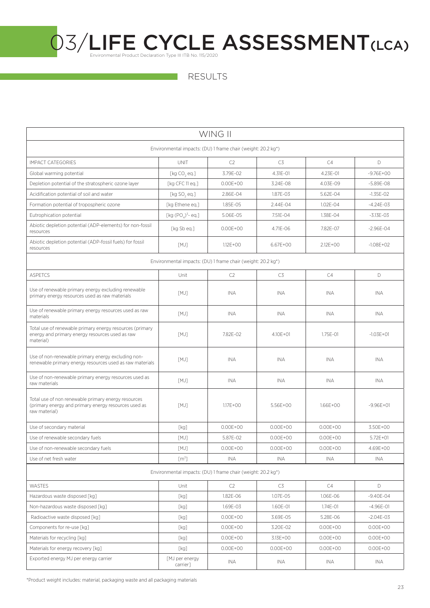| WING II                                                                                                                      |                            |                |              |              |               |  |  |  |
|------------------------------------------------------------------------------------------------------------------------------|----------------------------|----------------|--------------|--------------|---------------|--|--|--|
| Environmental impacts: (DU) 1 frame chair (weight: 20.2 kg*)                                                                 |                            |                |              |              |               |  |  |  |
| <b>IMPACT CATEGORIES</b>                                                                                                     | <b>UNIT</b>                | C <sub>2</sub> | C3           | C4           | D             |  |  |  |
| Global warming potential                                                                                                     | [ $kg CO, eq.]$            | 3.79E-02       | 4.31E-01     | 4.23E-01     | $-9.76E + 00$ |  |  |  |
| Depletion potential of the stratospheric ozone layer                                                                         | [kg CFC 11 eq.]            | $0.00E + 00$   | 3.24E-08     | 4.03E-09     | $-5.89E - 08$ |  |  |  |
| Acidification potential of soil and water                                                                                    | $[kg$ SO <sub>2</sub> eq.] | 2.86E-04       | 1.87E-03     | 5.62E-04     | $-1.35E-02$   |  |  |  |
| Formation potential of tropospheric ozone                                                                                    | [kg Ethene eq.]            | 1.85E-05       | 2.44E-04     | $1.02E - 04$ | $-4.24E - 03$ |  |  |  |
| Eutrophication potential                                                                                                     | [kg $(POa)3$ - eq.]        | 5.06E-05       | 7.51E-04     | 1.38E-04     | $-3.13E - 03$ |  |  |  |
| Abiotic depletion potential (ADP-elements) for non-fossil<br>resources                                                       | [kg Sb eq.]                | $0.00E + 00$   | 4.71F-06     | 7.82E-07     | $-2.96E - 04$ |  |  |  |
| Abiotic depletion potential (ADP-fossil fuels) for fossil<br>resources                                                       | [MJ]                       | $1.12E + 00$   | 6.67E+00     | $2.12E + 00$ | $-1.08E + 02$ |  |  |  |
| Environmental impacts: (DU) 1 frame chair (weight: 20.2 kg <sup>*</sup> )                                                    |                            |                |              |              |               |  |  |  |
| <b>ASPETCS</b>                                                                                                               | Unit                       | C2             | C3           | C4           | D             |  |  |  |
| Use of renewable primary energy excluding renewable<br>primary energy resources used as raw materials                        | [MJ]                       | INA            | INA          | INA          | INA           |  |  |  |
| Use of renewable primary energy resources used as raw<br>materials                                                           | [MJ]                       | <b>INA</b>     | INA          | INA          | INA           |  |  |  |
| Total use of renewable primary energy resources (primary<br>energy and primary energy resources used as raw<br>material)     | [MJ]                       | 7.82E-02       | $4.10E + 01$ | $1.75F - 01$ | $-1.03E + 01$ |  |  |  |
| Use of non-renewable primary energy excluding non-<br>renewable primary energy resources used as raw materials               | [MJ]                       | <b>INA</b>     | <b>INA</b>   | <b>INA</b>   | <b>INA</b>    |  |  |  |
| Use of non-renewable primary energy resources used as<br>raw materials                                                       | [MJ]                       | <b>INA</b>     | INA.         | <b>INA</b>   | INA           |  |  |  |
| Total use of non renewable primary energy resources<br>(primary energy and primary energy resources used as<br>raw material) | [MJ]                       | $1.17E + 00$   | 5.56E+00     | 1.66E+00     | $-9.96E + 01$ |  |  |  |
| Use of secondary material                                                                                                    | [kg]                       | $0.00E + 00$   | $0.00E + 00$ | $0.00E + 00$ | 3.50E+00      |  |  |  |
| Use of renewable secondary fuels                                                                                             | [MJ]                       | 5.87E-02       | $0.00E + 00$ | $0.00E + 00$ | $5.72E + 01$  |  |  |  |
| Use of non-renewable secondary fuels                                                                                         | [MJ]                       | $0.00E + 00$   | $0.00E + 00$ | $0.00E + 00$ | 4.69E+00      |  |  |  |
| Use of net fresh water                                                                                                       | [m <sup>3</sup> ]          | INA            | <b>INA</b>   | INA          | INA           |  |  |  |
| Environmental impacts: (DU) 1 frame chair (weight: 20.2 kg*)                                                                 |                            |                |              |              |               |  |  |  |
| WASTES                                                                                                                       | Unit                       | C2             | C3           | C4           | D             |  |  |  |
| Hazardous waste disposed [kg]                                                                                                | [kg]                       | 1.82E-06       | 1.07E-05     | 1.06E-06     | $-9.40E - 04$ |  |  |  |
| Non-hazardous waste disposed [kq]                                                                                            | [kg]                       | 1.69E-03       | 1.60E-01     | 1.74E-01     | $-4.96E - 01$ |  |  |  |
| Radioactive waste disposed [kg]                                                                                              | [kg]                       | $0.00E + 00$   | 3.69E-05     | 5.28E-06     | $-2.04E - 03$ |  |  |  |
| Components for re-use [kg]                                                                                                   | [kg]                       | $0.00E + 00$   | 3.20E-02     | $0.00E + 00$ | $0.00E + 00$  |  |  |  |
| Materials for recycling [kg]                                                                                                 | [kg]                       | $0.00E + 00$   | 3.13E+00     | $0.00E + 00$ | $0.00E + 00$  |  |  |  |
| Materials for energy recovery [kg]                                                                                           | [kg]                       | $0.00E + 00$   | $0.00E + 00$ | $0.00E + 00$ | $0.00E + 00$  |  |  |  |
| Exported energy MJ per energy carrier                                                                                        | [MJ per energy<br>carrier] | INA            | INA          | INA          | INA           |  |  |  |